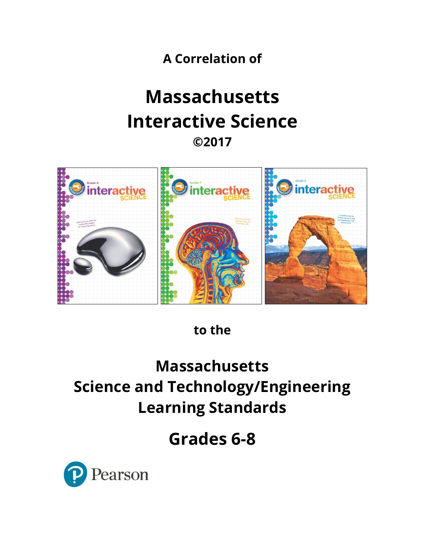**A Correlation of**

# **Massachusetts Interactive Science ©2017**



**to the**

# **Massachusetts Science and Technology/Engineering Learning Standards**

**Grades 6-8**

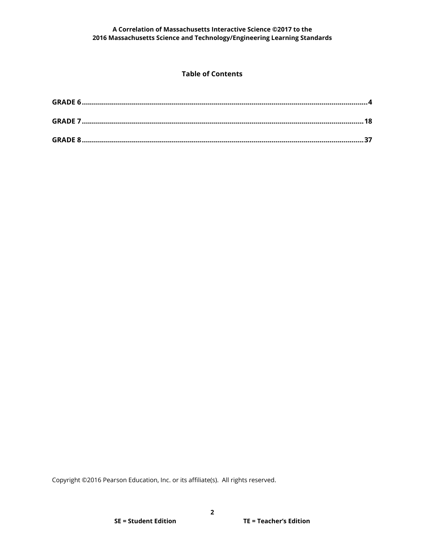### **Table of Contents**

Copyright ©2016 Pearson Education, Inc. or its affiliate(s). All rights reserved.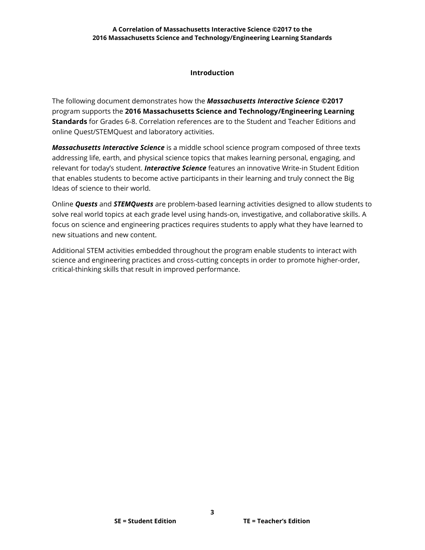## **Introduction**

The following document demonstrates how the *Massachusetts Interactive Science* **©2017** program supports the **2016 Massachusetts Science and Technology/Engineering Learning Standards** for Grades 6-8. Correlation references are to the Student and Teacher Editions and online Quest/STEMQuest and laboratory activities.

*Massachusetts Interactive Science* is a middle school science program composed of three texts addressing life, earth, and physical science topics that makes learning personal, engaging, and relevant for today's student. *Interactive Science* features an innovative Write-in Student Edition that enables students to become active participants in their learning and truly connect the Big Ideas of science to their world.

Online *Quests* and *STEMQuests* are problem-based learning activities designed to allow students to solve real world topics at each grade level using hands-on, investigative, and collaborative skills. A focus on science and engineering practices requires students to apply what they have learned to new situations and new content.

Additional STEM activities embedded throughout the program enable students to interact with science and engineering practices and cross-cutting concepts in order to promote higher-order, critical-thinking skills that result in improved performance.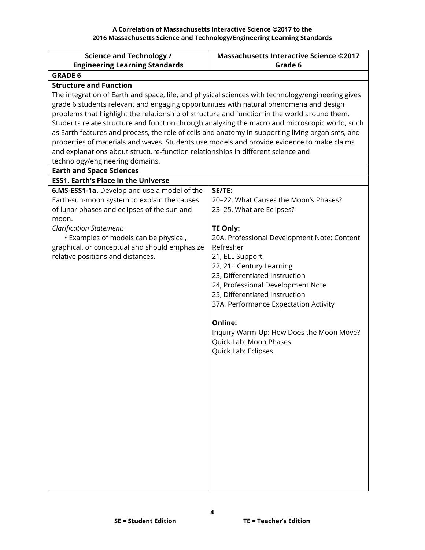<span id="page-3-0"></span>

| <b>Science and Technology /</b>                                                                   | <b>Massachusetts Interactive Science ©2017</b>                      |
|---------------------------------------------------------------------------------------------------|---------------------------------------------------------------------|
| <b>Engineering Learning Standards</b>                                                             | Grade 6                                                             |
| <b>GRADE 6</b>                                                                                    |                                                                     |
| <b>Structure and Function</b>                                                                     |                                                                     |
| The integration of Earth and space, life, and physical sciences with technology/engineering gives |                                                                     |
| grade 6 students relevant and engaging opportunities with natural phenomena and design            |                                                                     |
| problems that highlight the relationship of structure and function in the world around them.      |                                                                     |
| Students relate structure and function through analyzing the macro and microscopic world, such    |                                                                     |
| as Earth features and process, the role of cells and anatomy in supporting living organisms, and  |                                                                     |
| properties of materials and waves. Students use models and provide evidence to make claims        |                                                                     |
| and explanations about structure-function relationships in different science and                  |                                                                     |
| technology/engineering domains.                                                                   |                                                                     |
| <b>Earth and Space Sciences</b>                                                                   |                                                                     |
| <b>ESS1. Earth's Place in the Universe</b>                                                        |                                                                     |
| 6.MS-ESS1-1a. Develop and use a model of the                                                      | SE/TE:                                                              |
| Earth-sun-moon system to explain the causes                                                       | 20-22, What Causes the Moon's Phases?                               |
| of lunar phases and eclipses of the sun and                                                       | 23-25, What are Eclipses?                                           |
| moon.                                                                                             |                                                                     |
| <b>Clarification Statement:</b>                                                                   | <b>TE Only:</b>                                                     |
| • Examples of models can be physical,                                                             | 20A, Professional Development Note: Content                         |
| graphical, or conceptual and should emphasize                                                     | Refresher                                                           |
| relative positions and distances.                                                                 | 21, ELL Support                                                     |
|                                                                                                   | 22, 21 <sup>st</sup> Century Learning                               |
|                                                                                                   | 23, Differentiated Instruction                                      |
|                                                                                                   | 24, Professional Development Note<br>25, Differentiated Instruction |
|                                                                                                   | 37A, Performance Expectation Activity                               |
|                                                                                                   |                                                                     |
|                                                                                                   | Online:                                                             |
|                                                                                                   | Inquiry Warm-Up: How Does the Moon Move?                            |
|                                                                                                   | Quick Lab: Moon Phases                                              |
|                                                                                                   | Quick Lab: Eclipses                                                 |
|                                                                                                   |                                                                     |
|                                                                                                   |                                                                     |
|                                                                                                   |                                                                     |
|                                                                                                   |                                                                     |
|                                                                                                   |                                                                     |
|                                                                                                   |                                                                     |
|                                                                                                   |                                                                     |
|                                                                                                   |                                                                     |
|                                                                                                   |                                                                     |
|                                                                                                   |                                                                     |
|                                                                                                   |                                                                     |
|                                                                                                   |                                                                     |
|                                                                                                   |                                                                     |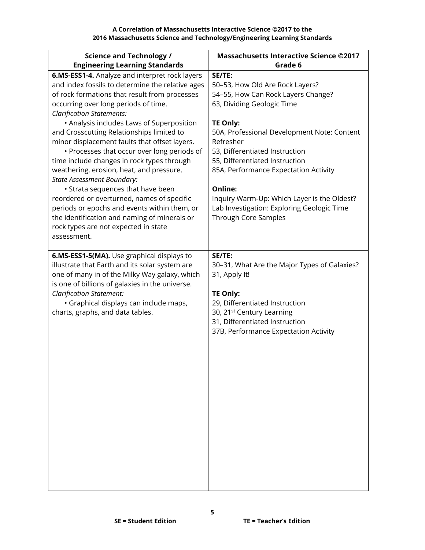| <b>Science and Technology /</b>                                                                                                                                                                                                                                                                                                                                                                                                                                                                                                                                                                                                                                                                                                                                                                    | <b>Massachusetts Interactive Science ©2017</b>                                                                                                                                                                                                                                                                                                                                                                                            |
|----------------------------------------------------------------------------------------------------------------------------------------------------------------------------------------------------------------------------------------------------------------------------------------------------------------------------------------------------------------------------------------------------------------------------------------------------------------------------------------------------------------------------------------------------------------------------------------------------------------------------------------------------------------------------------------------------------------------------------------------------------------------------------------------------|-------------------------------------------------------------------------------------------------------------------------------------------------------------------------------------------------------------------------------------------------------------------------------------------------------------------------------------------------------------------------------------------------------------------------------------------|
| <b>Engineering Learning Standards</b>                                                                                                                                                                                                                                                                                                                                                                                                                                                                                                                                                                                                                                                                                                                                                              | Grade 6                                                                                                                                                                                                                                                                                                                                                                                                                                   |
| 6.MS-ESS1-4. Analyze and interpret rock layers<br>and index fossils to determine the relative ages<br>of rock formations that result from processes<br>occurring over long periods of time.<br><b>Clarification Statements:</b><br>• Analysis includes Laws of Superposition<br>and Crosscutting Relationships limited to<br>minor displacement faults that offset layers.<br>• Processes that occur over long periods of<br>time include changes in rock types through<br>weathering, erosion, heat, and pressure.<br><b>State Assessment Boundary:</b><br>• Strata sequences that have been<br>reordered or overturned, names of specific<br>periods or epochs and events within them, or<br>the identification and naming of minerals or<br>rock types are not expected in state<br>assessment. | SE/TE:<br>50-53, How Old Are Rock Layers?<br>54-55, How Can Rock Layers Change?<br>63, Dividing Geologic Time<br><b>TE Only:</b><br>50A, Professional Development Note: Content<br>Refresher<br>53, Differentiated Instruction<br>55, Differentiated Instruction<br>85A, Performance Expectation Activity<br>Online:<br>Inquiry Warm-Up: Which Layer is the Oldest?<br>Lab Investigation: Exploring Geologic Time<br>Through Core Samples |
| 6.MS-ESS1-5(MA). Use graphical displays to<br>illustrate that Earth and its solar system are<br>one of many in of the Milky Way galaxy, which<br>is one of billions of galaxies in the universe.<br><b>Clarification Statement:</b><br>· Graphical displays can include maps,<br>charts, graphs, and data tables.                                                                                                                                                                                                                                                                                                                                                                                                                                                                                  | SE/TE:<br>30-31, What Are the Major Types of Galaxies?<br>31, Apply It!<br><b>TE Only:</b><br>29, Differentiated Instruction<br>30, 21 <sup>st</sup> Century Learning<br>31, Differentiated Instruction<br>37B, Performance Expectation Activity                                                                                                                                                                                          |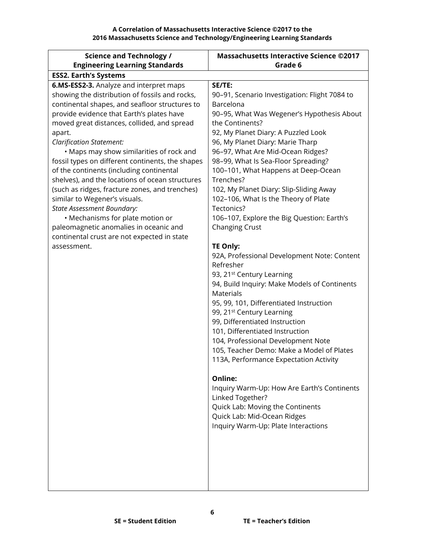| <b>Science and Technology /</b>                  | <b>Massachusetts Interactive Science ©2017</b>                   |
|--------------------------------------------------|------------------------------------------------------------------|
| <b>Engineering Learning Standards</b>            | Grade 6                                                          |
| <b>ESS2. Earth's Systems</b>                     |                                                                  |
| 6.MS-ESS2-3. Analyze and interpret maps          | SE/TE:                                                           |
| showing the distribution of fossils and rocks,   | 90-91, Scenario Investigation: Flight 7084 to                    |
| continental shapes, and seafloor structures to   | Barcelona                                                        |
| provide evidence that Earth's plates have        | 90-95, What Was Wegener's Hypothesis About                       |
| moved great distances, collided, and spread      | the Continents?                                                  |
| apart.                                           | 92, My Planet Diary: A Puzzled Look                              |
| <b>Clarification Statement:</b>                  | 96, My Planet Diary: Marie Tharp                                 |
| • Maps may show similarities of rock and         | 96-97, What Are Mid-Ocean Ridges?                                |
| fossil types on different continents, the shapes | 98-99, What Is Sea-Floor Spreading?                              |
| of the continents (including continental         | 100-101, What Happens at Deep-Ocean                              |
| shelves), and the locations of ocean structures  | Trenches?                                                        |
| (such as ridges, fracture zones, and trenches)   | 102, My Planet Diary: Slip-Sliding Away                          |
| similar to Wegener's visuals.                    | 102-106, What Is the Theory of Plate                             |
| <b>State Assessment Boundary:</b>                | Tectonics?                                                       |
| • Mechanisms for plate motion or                 | 106-107, Explore the Big Question: Earth's                       |
| paleomagnetic anomalies in oceanic and           | Changing Crust                                                   |
| continental crust are not expected in state      |                                                                  |
| assessment.                                      | <b>TE Only:</b>                                                  |
|                                                  | 92A, Professional Development Note: Content                      |
|                                                  | Refresher                                                        |
|                                                  | 93, 21 <sup>st</sup> Century Learning                            |
|                                                  | 94, Build Inquiry: Make Models of Continents<br><b>Materials</b> |
|                                                  | 95, 99, 101, Differentiated Instruction                          |
|                                                  | 99, 21 <sup>st</sup> Century Learning                            |
|                                                  | 99, Differentiated Instruction                                   |
|                                                  | 101, Differentiated Instruction                                  |
|                                                  | 104, Professional Development Note                               |
|                                                  | 105, Teacher Demo: Make a Model of Plates                        |
|                                                  | 113A, Performance Expectation Activity                           |
|                                                  |                                                                  |
|                                                  | Online:                                                          |
|                                                  | Inquiry Warm-Up: How Are Earth's Continents                      |
|                                                  | Linked Together?                                                 |
|                                                  | Quick Lab: Moving the Continents                                 |
|                                                  | Quick Lab: Mid-Ocean Ridges                                      |
|                                                  | Inquiry Warm-Up: Plate Interactions                              |
|                                                  |                                                                  |
|                                                  |                                                                  |
|                                                  |                                                                  |
|                                                  |                                                                  |
|                                                  |                                                                  |
|                                                  |                                                                  |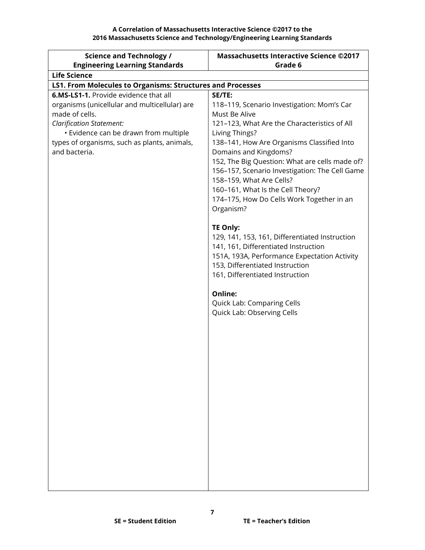| <b>Science and Technology /</b>                                                                                                                                                                                                                       | <b>Massachusetts Interactive Science ©2017</b>                                                                                                                                                                                                                                                                                                                                                                                   |
|-------------------------------------------------------------------------------------------------------------------------------------------------------------------------------------------------------------------------------------------------------|----------------------------------------------------------------------------------------------------------------------------------------------------------------------------------------------------------------------------------------------------------------------------------------------------------------------------------------------------------------------------------------------------------------------------------|
| <b>Engineering Learning Standards</b>                                                                                                                                                                                                                 | Grade 6                                                                                                                                                                                                                                                                                                                                                                                                                          |
| <b>Life Science</b>                                                                                                                                                                                                                                   |                                                                                                                                                                                                                                                                                                                                                                                                                                  |
| <b>LS1. From Molecules to Organisms: Structures and Processes</b>                                                                                                                                                                                     |                                                                                                                                                                                                                                                                                                                                                                                                                                  |
| 6.MS-LS1-1. Provide evidence that all<br>organisms (unicellular and multicellular) are<br>made of cells.<br><b>Clarification Statement:</b><br>· Evidence can be drawn from multiple<br>types of organisms, such as plants, animals,<br>and bacteria. | SE/TE:<br>118-119, Scenario Investigation: Mom's Car<br>Must Be Alive<br>121-123, What Are the Characteristics of All<br>Living Things?<br>138-141, How Are Organisms Classified Into<br>Domains and Kingdoms?<br>152, The Big Question: What are cells made of?<br>156-157, Scenario Investigation: The Cell Game<br>158-159, What Are Cells?<br>160-161, What Is the Cell Theory?<br>174-175, How Do Cells Work Together in an |
|                                                                                                                                                                                                                                                       | Organism?<br><b>TE Only:</b><br>129, 141, 153, 161, Differentiated Instruction<br>141, 161, Differentiated Instruction<br>151A, 193A, Performance Expectation Activity<br>153, Differentiated Instruction<br>161, Differentiated Instruction<br>Online:<br>Quick Lab: Comparing Cells<br>Quick Lab: Observing Cells                                                                                                              |
|                                                                                                                                                                                                                                                       |                                                                                                                                                                                                                                                                                                                                                                                                                                  |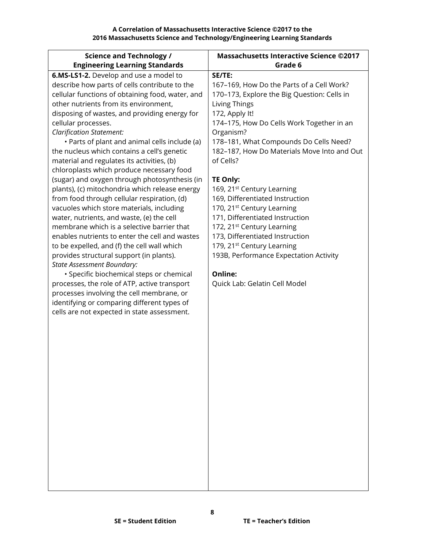| <b>Science and Technology /</b>                                                                                                                                                                                                                                                                                                                                                                                                                                                                                                                                                                                                                                                       | <b>Massachusetts Interactive Science ©2017</b><br>Grade 6                                                                                                                                                                                                                                                                                                                                             |
|---------------------------------------------------------------------------------------------------------------------------------------------------------------------------------------------------------------------------------------------------------------------------------------------------------------------------------------------------------------------------------------------------------------------------------------------------------------------------------------------------------------------------------------------------------------------------------------------------------------------------------------------------------------------------------------|-------------------------------------------------------------------------------------------------------------------------------------------------------------------------------------------------------------------------------------------------------------------------------------------------------------------------------------------------------------------------------------------------------|
| <b>Engineering Learning Standards</b><br>6.MS-LS1-2. Develop and use a model to<br>describe how parts of cells contribute to the<br>cellular functions of obtaining food, water, and<br>other nutrients from its environment,<br>disposing of wastes, and providing energy for<br>cellular processes.<br><b>Clarification Statement:</b><br>· Parts of plant and animal cells include (a)<br>the nucleus which contains a cell's genetic<br>material and regulates its activities, (b)<br>chloroplasts which produce necessary food<br>(sugar) and oxygen through photosynthesis (in<br>plants), (c) mitochondria which release energy<br>from food through cellular respiration, (d) | SE/TE:<br>167-169, How Do the Parts of a Cell Work?<br>170-173, Explore the Big Question: Cells in<br>Living Things<br>172, Apply It!<br>174-175, How Do Cells Work Together in an<br>Organism?<br>178-181, What Compounds Do Cells Need?<br>182-187, How Do Materials Move Into and Out<br>of Cells?<br><b>TE Only:</b><br>169, 21 <sup>st</sup> Century Learning<br>169, Differentiated Instruction |
| vacuoles which store materials, including<br>water, nutrients, and waste, (e) the cell<br>membrane which is a selective barrier that<br>enables nutrients to enter the cell and wastes<br>to be expelled, and (f) the cell wall which<br>provides structural support (in plants).<br><b>State Assessment Boundary:</b><br>· Specific biochemical steps or chemical<br>processes, the role of ATP, active transport<br>processes involving the cell membrane, or<br>identifying or comparing different types of<br>cells are not expected in state assessment.                                                                                                                         | 170, 21 <sup>st</sup> Century Learning<br>171, Differentiated Instruction<br>172, 21 <sup>st</sup> Century Learning<br>173, Differentiated Instruction<br>179, 21 <sup>st</sup> Century Learning<br>193B, Performance Expectation Activity<br>Online:<br>Quick Lab: Gelatin Cell Model                                                                                                                |
|                                                                                                                                                                                                                                                                                                                                                                                                                                                                                                                                                                                                                                                                                       |                                                                                                                                                                                                                                                                                                                                                                                                       |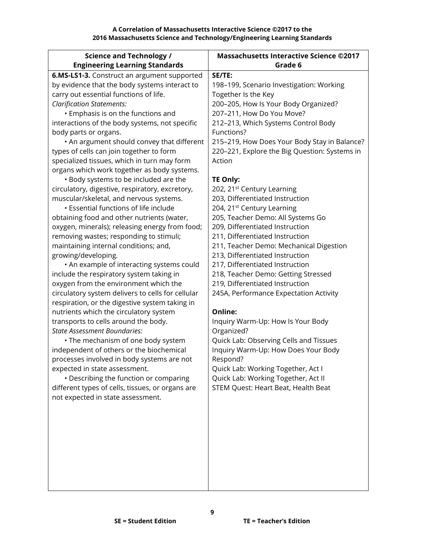| <b>Science and Technology /</b>                   | <b>Massachusetts Interactive Science ©2017</b> |
|---------------------------------------------------|------------------------------------------------|
| <b>Engineering Learning Standards</b>             | Grade 6                                        |
| 6.MS-LS1-3. Construct an argument supported       | SE/TE:                                         |
| by evidence that the body systems interact to     | 198-199, Scenario Investigation: Working       |
| carry out essential functions of life.            | Together Is the Key                            |
| <b>Clarification Statements:</b>                  | 200-205, How Is Your Body Organized?           |
| • Emphasis is on the functions and                | 207-211, How Do You Move?                      |
| interactions of the body systems, not specific    | 212-213, Which Systems Control Body            |
| body parts or organs.                             | Functions?                                     |
| • An argument should convey that different        | 215-219, How Does Your Body Stay in Balance?   |
| types of cells can join together to form          | 220-221, Explore the Big Question: Systems in  |
| specialized tissues, which in turn may form       | Action                                         |
| organs which work together as body systems.       |                                                |
| • Body systems to be included are the             | <b>TE Only:</b>                                |
| circulatory, digestive, respiratory, excretory,   | 202, 21 <sup>st</sup> Century Learning         |
| muscular/skeletal, and nervous systems.           | 203, Differentiated Instruction                |
| <b>· Essential functions of life include</b>      | 204, 21 <sup>st</sup> Century Learning         |
| obtaining food and other nutrients (water,        | 205, Teacher Demo: All Systems Go              |
| oxygen, minerals); releasing energy from food;    | 209, Differentiated Instruction                |
| removing wastes; responding to stimuli;           | 211, Differentiated Instruction                |
| maintaining internal conditions; and,             | 211, Teacher Demo: Mechanical Digestion        |
| growing/developing.                               | 213, Differentiated Instruction                |
| . An example of interacting systems could         | 217, Differentiated Instruction                |
| include the respiratory system taking in          | 218, Teacher Demo: Getting Stressed            |
| oxygen from the environment which the             | 219, Differentiated Instruction                |
| circulatory system delivers to cells for cellular | 245A, Performance Expectation Activity         |
| respiration, or the digestive system taking in    |                                                |
| nutrients which the circulatory system            | Online:                                        |
| transports to cells around the body.              | Inquiry Warm-Up: How Is Your Body              |
| <b>State Assessment Boundaries:</b>               | Organized?                                     |
| • The mechanism of one body system                | Quick Lab: Observing Cells and Tissues         |
| independent of others or the biochemical          | Inquiry Warm-Up: How Does Your Body            |
| processes involved in body systems are not        | Respond?                                       |
| expected in state assessment.                     | Quick Lab: Working Together, Act I             |
| • Describing the function or comparing            | Quick Lab: Working Together, Act II            |
| different types of cells, tissues, or organs are  | STEM Quest: Heart Beat, Health Beat            |
| not expected in state assessment.                 |                                                |
|                                                   |                                                |
|                                                   |                                                |
|                                                   |                                                |
|                                                   |                                                |
|                                                   |                                                |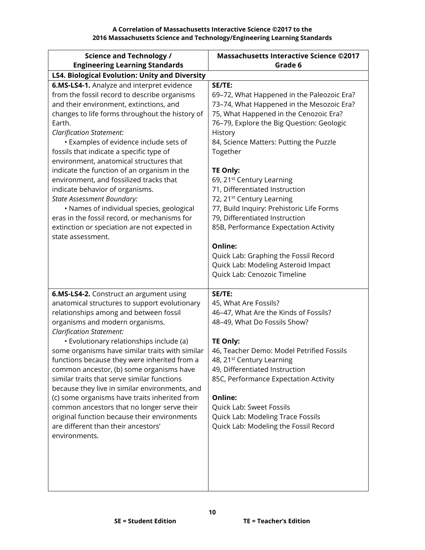| <b>Science and Technology /</b><br><b>Engineering Learning Standards</b>                                                                                                                                                                                                                                                                                                                                                                                                                                                                                                                                                                                                                                     | <b>Massachusetts Interactive Science ©2017</b><br>Grade 6                                                                                                                                                                                                                                                                                                                                                                                                                                                                                                                                                                                            |
|--------------------------------------------------------------------------------------------------------------------------------------------------------------------------------------------------------------------------------------------------------------------------------------------------------------------------------------------------------------------------------------------------------------------------------------------------------------------------------------------------------------------------------------------------------------------------------------------------------------------------------------------------------------------------------------------------------------|------------------------------------------------------------------------------------------------------------------------------------------------------------------------------------------------------------------------------------------------------------------------------------------------------------------------------------------------------------------------------------------------------------------------------------------------------------------------------------------------------------------------------------------------------------------------------------------------------------------------------------------------------|
| LS4. Biological Evolution: Unity and Diversity                                                                                                                                                                                                                                                                                                                                                                                                                                                                                                                                                                                                                                                               |                                                                                                                                                                                                                                                                                                                                                                                                                                                                                                                                                                                                                                                      |
| 6.MS-LS4-1. Analyze and interpret evidence<br>from the fossil record to describe organisms<br>and their environment, extinctions, and<br>changes to life forms throughout the history of<br>Earth.<br><b>Clarification Statement:</b><br>• Examples of evidence include sets of<br>fossils that indicate a specific type of<br>environment, anatomical structures that<br>indicate the function of an organism in the<br>environment, and fossilized tracks that<br>indicate behavior of organisms.<br><b>State Assessment Boundary:</b><br>• Names of individual species, geological<br>eras in the fossil record, or mechanisms for<br>extinction or speciation are not expected in<br>state assessment.   | SE/TE:<br>69-72, What Happened in the Paleozoic Era?<br>73-74, What Happened in the Mesozoic Era?<br>75, What Happened in the Cenozoic Era?<br>76-79, Explore the Big Question: Geologic<br>History<br>84, Science Matters: Putting the Puzzle<br>Together<br><b>TE Only:</b><br>69, 21 <sup>st</sup> Century Learning<br>71, Differentiated Instruction<br>72, 21 <sup>st</sup> Century Learning<br>77, Build Inquiry: Prehistoric Life Forms<br>79, Differentiated Instruction<br>85B, Performance Expectation Activity<br>Online:<br>Quick Lab: Graphing the Fossil Record<br>Quick Lab: Modeling Asteroid Impact<br>Quick Lab: Cenozoic Timeline |
| 6.MS-LS4-2. Construct an argument using<br>anatomical structures to support evolutionary<br>relationships among and between fossil<br>organisms and modern organisms.<br><b>Clarification Statement:</b><br>· Evolutionary relationships include (a)<br>some organisms have similar traits with similar<br>functions because they were inherited from a<br>common ancestor, (b) some organisms have<br>similar traits that serve similar functions<br>because they live in similar environments, and<br>(c) some organisms have traits inherited from<br>common ancestors that no longer serve their<br>original function because their environments<br>are different than their ancestors'<br>environments. | SE/TE:<br>45, What Are Fossils?<br>46-47, What Are the Kinds of Fossils?<br>48-49, What Do Fossils Show?<br>TE Only:<br>46, Teacher Demo: Model Petrified Fossils<br>48, 21 <sup>st</sup> Century Learning<br>49, Differentiated Instruction<br>85C, Performance Expectation Activity<br>Online:<br>Quick Lab: Sweet Fossils<br>Quick Lab: Modeling Trace Fossils<br>Quick Lab: Modeling the Fossil Record                                                                                                                                                                                                                                           |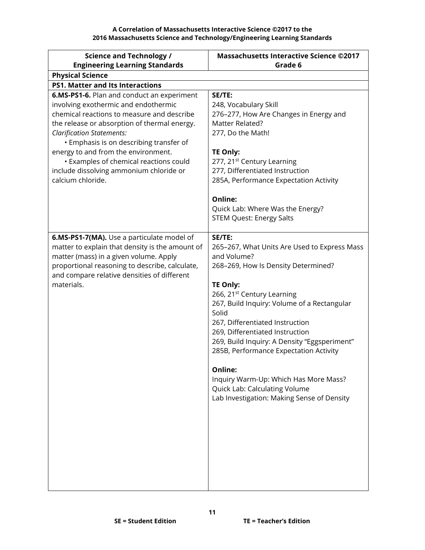| <b>Science and Technology /</b>                                                                                                                                                                                                                                                                                                                                                                                  | <b>Massachusetts Interactive Science ©2017</b>                                                                                                                                                                                                                                                                                                                                                                                                                                                                                              |
|------------------------------------------------------------------------------------------------------------------------------------------------------------------------------------------------------------------------------------------------------------------------------------------------------------------------------------------------------------------------------------------------------------------|---------------------------------------------------------------------------------------------------------------------------------------------------------------------------------------------------------------------------------------------------------------------------------------------------------------------------------------------------------------------------------------------------------------------------------------------------------------------------------------------------------------------------------------------|
| <b>Engineering Learning Standards</b>                                                                                                                                                                                                                                                                                                                                                                            | Grade 6                                                                                                                                                                                                                                                                                                                                                                                                                                                                                                                                     |
| <b>Physical Science</b>                                                                                                                                                                                                                                                                                                                                                                                          |                                                                                                                                                                                                                                                                                                                                                                                                                                                                                                                                             |
| <b>PS1. Matter and Its Interactions</b>                                                                                                                                                                                                                                                                                                                                                                          |                                                                                                                                                                                                                                                                                                                                                                                                                                                                                                                                             |
| 6.MS-PS1-6. Plan and conduct an experiment<br>involving exothermic and endothermic<br>chemical reactions to measure and describe<br>the release or absorption of thermal energy.<br><b>Clarification Statements:</b><br>• Emphasis is on describing transfer of<br>energy to and from the environment.<br>• Examples of chemical reactions could<br>include dissolving ammonium chloride or<br>calcium chloride. | SE/TE:<br>248, Vocabulary Skill<br>276-277, How Are Changes in Energy and<br>Matter Related?<br>277, Do the Math!<br><b>TE Only:</b><br>277, 21 <sup>st</sup> Century Learning<br>277, Differentiated Instruction<br>285A, Performance Expectation Activity<br><b>Online:</b><br>Quick Lab: Where Was the Energy?<br><b>STEM Quest: Energy Salts</b>                                                                                                                                                                                        |
| 6.MS-PS1-7(MA). Use a particulate model of<br>matter to explain that density is the amount of<br>matter (mass) in a given volume. Apply<br>proportional reasoning to describe, calculate,<br>and compare relative densities of different<br>materials.                                                                                                                                                           | SE/TE:<br>265-267, What Units Are Used to Express Mass<br>and Volume?<br>268-269, How Is Density Determined?<br><b>TE Only:</b><br>266, 21 <sup>st</sup> Century Learning<br>267, Build Inquiry: Volume of a Rectangular<br>Solid<br>267, Differentiated Instruction<br>269, Differentiated Instruction<br>269, Build Inquiry: A Density "Eggsperiment"<br>285B, Performance Expectation Activity<br><b>Online:</b><br>Inquiry Warm-Up: Which Has More Mass?<br>Quick Lab: Calculating Volume<br>Lab Investigation: Making Sense of Density |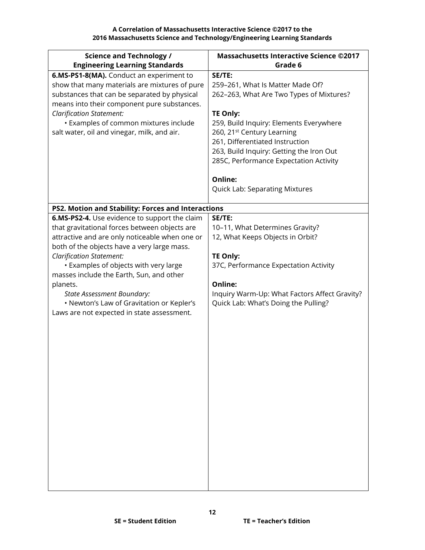| <b>Science and Technology /</b>                    | <b>Massachusetts Interactive Science ©2017</b>                              |
|----------------------------------------------------|-----------------------------------------------------------------------------|
| <b>Engineering Learning Standards</b>              | Grade 6                                                                     |
| 6.MS-PS1-8(MA). Conduct an experiment to           | SE/TE:                                                                      |
| show that many materials are mixtures of pure      | 259-261, What Is Matter Made Of?                                            |
| substances that can be separated by physical       | 262-263, What Are Two Types of Mixtures?                                    |
| means into their component pure substances.        |                                                                             |
| Clarification Statement:                           | <b>TE Only:</b>                                                             |
| • Examples of common mixtures include              | 259, Build Inquiry: Elements Everywhere                                     |
| salt water, oil and vinegar, milk, and air.        | 260, 21 <sup>st</sup> Century Learning                                      |
|                                                    | 261, Differentiated Instruction<br>263, Build Inquiry: Getting the Iron Out |
|                                                    | 285C, Performance Expectation Activity                                      |
|                                                    |                                                                             |
|                                                    | Online:                                                                     |
|                                                    | <b>Quick Lab: Separating Mixtures</b>                                       |
|                                                    |                                                                             |
| PS2. Motion and Stability: Forces and Interactions |                                                                             |
| 6.MS-PS2-4. Use evidence to support the claim      | SE/TE:                                                                      |
| that gravitational forces between objects are      | 10-11, What Determines Gravity?                                             |
| attractive and are only noticeable when one or     | 12, What Keeps Objects in Orbit?                                            |
| both of the objects have a very large mass.        |                                                                             |
| <b>Clarification Statement:</b>                    | <b>TE Only:</b>                                                             |
| • Examples of objects with very large              | 37C, Performance Expectation Activity                                       |
| masses include the Earth, Sun, and other           | Online:                                                                     |
| planets.<br>State Assessment Boundary:             | Inquiry Warm-Up: What Factors Affect Gravity?                               |
| • Newton's Law of Gravitation or Kepler's          | Quick Lab: What's Doing the Pulling?                                        |
| Laws are not expected in state assessment.         |                                                                             |
|                                                    |                                                                             |
|                                                    |                                                                             |
|                                                    |                                                                             |
|                                                    |                                                                             |
|                                                    |                                                                             |
|                                                    |                                                                             |
|                                                    |                                                                             |
|                                                    |                                                                             |
|                                                    |                                                                             |
|                                                    |                                                                             |
|                                                    |                                                                             |
|                                                    |                                                                             |
|                                                    |                                                                             |
|                                                    |                                                                             |
|                                                    |                                                                             |
|                                                    |                                                                             |
|                                                    |                                                                             |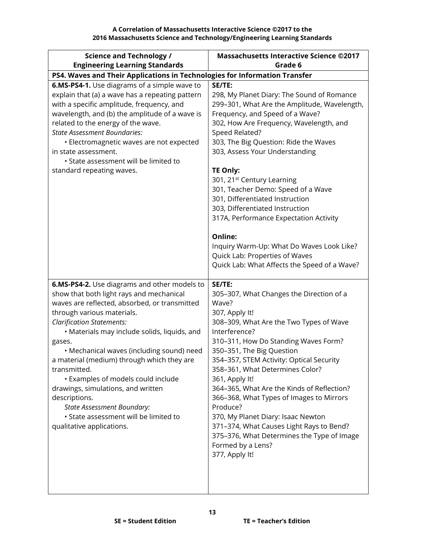| <b>Science and Technology /</b>                                                                                                                                                                                                                                                                                                                                                                                                                                                                                                                                                          | <b>Massachusetts Interactive Science ©2017</b>                                                                                                                                                                                                                                                                                                                                                                                                                                                                                                                                                                                        |
|------------------------------------------------------------------------------------------------------------------------------------------------------------------------------------------------------------------------------------------------------------------------------------------------------------------------------------------------------------------------------------------------------------------------------------------------------------------------------------------------------------------------------------------------------------------------------------------|---------------------------------------------------------------------------------------------------------------------------------------------------------------------------------------------------------------------------------------------------------------------------------------------------------------------------------------------------------------------------------------------------------------------------------------------------------------------------------------------------------------------------------------------------------------------------------------------------------------------------------------|
| <b>Engineering Learning Standards</b>                                                                                                                                                                                                                                                                                                                                                                                                                                                                                                                                                    | Grade 6                                                                                                                                                                                                                                                                                                                                                                                                                                                                                                                                                                                                                               |
| PS4. Waves and Their Applications in Technologies for Information Transfer                                                                                                                                                                                                                                                                                                                                                                                                                                                                                                               |                                                                                                                                                                                                                                                                                                                                                                                                                                                                                                                                                                                                                                       |
| 6.MS-PS4-1. Use diagrams of a simple wave to<br>explain that (a) a wave has a repeating pattern<br>with a specific amplitude, frequency, and<br>wavelength, and (b) the amplitude of a wave is<br>related to the energy of the wave.<br><b>State Assessment Boundaries:</b><br>· Electromagnetic waves are not expected<br>in state assessment.<br>· State assessment will be limited to<br>standard repeating waves.                                                                                                                                                                    | SE/TE:<br>298, My Planet Diary: The Sound of Romance<br>299-301, What Are the Amplitude, Wavelength,<br>Frequency, and Speed of a Wave?<br>302, How Are Frequency, Wavelength, and<br>Speed Related?<br>303, The Big Question: Ride the Waves<br>303, Assess Your Understanding<br>TE Only:<br>301, 21 <sup>st</sup> Century Learning<br>301, Teacher Demo: Speed of a Wave<br>301, Differentiated Instruction<br>303, Differentiated Instruction<br>317A, Performance Expectation Activity<br>Online:<br>Inquiry Warm-Up: What Do Waves Look Like?<br>Quick Lab: Properties of Waves<br>Quick Lab: What Affects the Speed of a Wave? |
| 6.MS-PS4-2. Use diagrams and other models to<br>show that both light rays and mechanical<br>waves are reflected, absorbed, or transmitted<br>through various materials.<br><b>Clarification Statements:</b><br>· Materials may include solids, liquids, and<br>gases.<br>• Mechanical waves (including sound) need<br>a material (medium) through which they are<br>transmitted.<br>· Examples of models could include<br>drawings, simulations, and written<br>descriptions.<br><b>State Assessment Boundary:</b><br>• State assessment will be limited to<br>qualitative applications. | SE/TE:<br>305-307, What Changes the Direction of a<br>Wave?<br>307, Apply It!<br>308-309, What Are the Two Types of Wave<br>Interference?<br>310-311, How Do Standing Waves Form?<br>350-351, The Big Question<br>354-357, STEM Activity: Optical Security<br>358-361, What Determines Color?<br>361, Apply It!<br>364-365, What Are the Kinds of Reflection?<br>366-368, What Types of Images to Mirrors<br>Produce?<br>370, My Planet Diary: Isaac Newton<br>371-374, What Causes Light Rays to Bend?<br>375-376, What Determines the Type of Image<br>Formed by a Lens?<br>377, Apply It!                                          |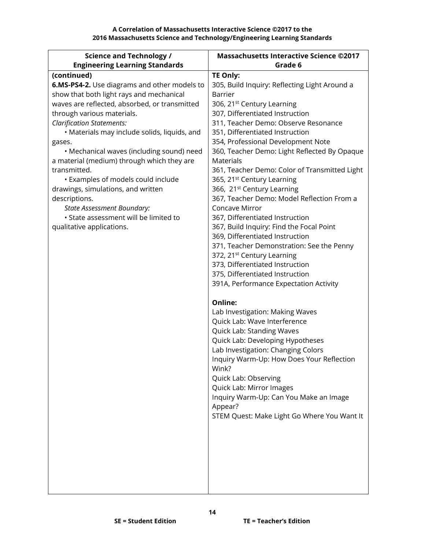| <b>Science and Technology /</b>               | <b>Massachusetts Interactive Science ©2017</b>                            |
|-----------------------------------------------|---------------------------------------------------------------------------|
| <b>Engineering Learning Standards</b>         | Grade 6                                                                   |
| (continued)                                   | <b>TE Only:</b>                                                           |
| 6.MS-PS4-2. Use diagrams and other models to  | 305, Build Inquiry: Reflecting Light Around a                             |
| show that both light rays and mechanical      | <b>Barrier</b>                                                            |
| waves are reflected, absorbed, or transmitted | 306, 21 <sup>st</sup> Century Learning                                    |
| through various materials.                    | 307, Differentiated Instruction                                           |
| <b>Clarification Statements:</b>              | 311, Teacher Demo: Observe Resonance                                      |
| · Materials may include solids, liquids, and  | 351, Differentiated Instruction                                           |
| gases.                                        | 354, Professional Development Note                                        |
| • Mechanical waves (including sound) need     | 360, Teacher Demo: Light Reflected By Opaque                              |
| a material (medium) through which they are    | <b>Materials</b>                                                          |
| transmitted.                                  | 361, Teacher Demo: Color of Transmitted Light                             |
| • Examples of models could include            | 365, 21 <sup>st</sup> Century Learning                                    |
| drawings, simulations, and written            | 366, 21 <sup>st</sup> Century Learning                                    |
| descriptions.                                 | 367, Teacher Demo: Model Reflection From a                                |
| State Assessment Boundary:                    | Concave Mirror                                                            |
| • State assessment will be limited to         | 367, Differentiated Instruction                                           |
| qualitative applications.                     | 367, Build Inquiry: Find the Focal Point                                  |
|                                               | 369, Differentiated Instruction                                           |
|                                               | 371, Teacher Demonstration: See the Penny                                 |
|                                               | 372, 21 <sup>st</sup> Century Learning<br>373, Differentiated Instruction |
|                                               | 375, Differentiated Instruction                                           |
|                                               | 391A, Performance Expectation Activity                                    |
|                                               |                                                                           |
|                                               | Online:                                                                   |
|                                               | Lab Investigation: Making Waves                                           |
|                                               | Quick Lab: Wave Interference                                              |
|                                               | <b>Quick Lab: Standing Waves</b>                                          |
|                                               | Quick Lab: Developing Hypotheses                                          |
|                                               | Lab Investigation: Changing Colors                                        |
|                                               | Inquiry Warm-Up: How Does Your Reflection                                 |
|                                               | Wink?                                                                     |
|                                               | Quick Lab: Observing                                                      |
|                                               | Quick Lab: Mirror Images                                                  |
|                                               | Inquiry Warm-Up: Can You Make an Image                                    |
|                                               | Appear?                                                                   |
|                                               | STEM Quest: Make Light Go Where You Want It                               |
|                                               |                                                                           |
|                                               |                                                                           |
|                                               |                                                                           |
|                                               |                                                                           |
|                                               |                                                                           |
|                                               |                                                                           |
|                                               |                                                                           |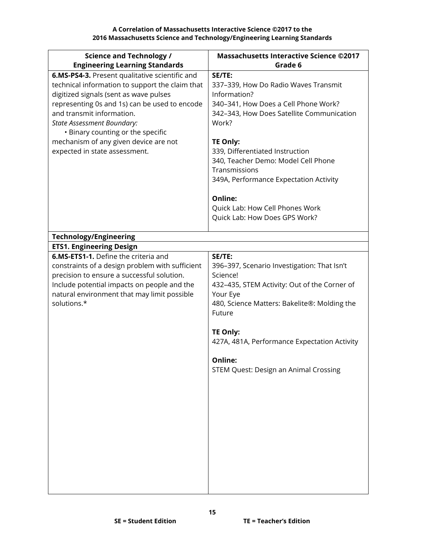| <b>Science and Technology /</b>                                                                                                                                                                                                                                                                                                                                               | <b>Massachusetts Interactive Science ©2017</b>                                                                                                                                                                                                                                                                                  |
|-------------------------------------------------------------------------------------------------------------------------------------------------------------------------------------------------------------------------------------------------------------------------------------------------------------------------------------------------------------------------------|---------------------------------------------------------------------------------------------------------------------------------------------------------------------------------------------------------------------------------------------------------------------------------------------------------------------------------|
| <b>Engineering Learning Standards</b>                                                                                                                                                                                                                                                                                                                                         | Grade 6                                                                                                                                                                                                                                                                                                                         |
| 6.MS-PS4-3. Present qualitative scientific and<br>technical information to support the claim that<br>digitized signals (sent as wave pulses<br>representing 0s and 1s) can be used to encode<br>and transmit information.<br><b>State Assessment Boundary:</b><br>• Binary counting or the specific<br>mechanism of any given device are not<br>expected in state assessment. | SE/TE:<br>337-339, How Do Radio Waves Transmit<br>Information?<br>340-341, How Does a Cell Phone Work?<br>342-343, How Does Satellite Communication<br>Work?<br><b>TE Only:</b><br>339, Differentiated Instruction<br>340, Teacher Demo: Model Cell Phone<br>Transmissions<br>349A, Performance Expectation Activity<br>Online: |
|                                                                                                                                                                                                                                                                                                                                                                               | Quick Lab: How Cell Phones Work<br>Quick Lab: How Does GPS Work?                                                                                                                                                                                                                                                                |
| <b>Technology/Engineering</b>                                                                                                                                                                                                                                                                                                                                                 |                                                                                                                                                                                                                                                                                                                                 |
| <b>ETS1. Engineering Design</b>                                                                                                                                                                                                                                                                                                                                               |                                                                                                                                                                                                                                                                                                                                 |
| <b>6.MS-ETS1-1.</b> Define the criteria and                                                                                                                                                                                                                                                                                                                                   | SE/TE:                                                                                                                                                                                                                                                                                                                          |
| constraints of a design problem with sufficient<br>precision to ensure a successful solution.<br>Include potential impacts on people and the<br>natural environment that may limit possible<br>solutions.*                                                                                                                                                                    | 396-397, Scenario Investigation: That Isn't<br>Science!<br>432-435, STEM Activity: Out of the Corner of<br>Your Eye<br>480, Science Matters: Bakelite®: Molding the<br>Future<br>TE Only:<br>427A, 481A, Performance Expectation Activity<br>Online:<br>STEM Quest: Design an Animal Crossing                                   |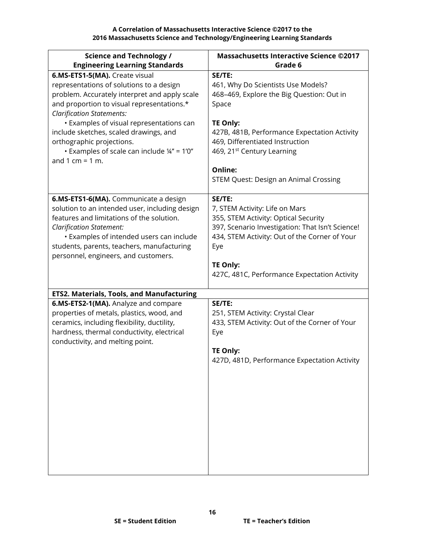| <b>Science and Technology /</b>                                                                                                                                                                                                                                                                                                                                                                             | <b>Massachusetts Interactive Science ©2017</b>                                                                                                                                                                                                                                                         |
|-------------------------------------------------------------------------------------------------------------------------------------------------------------------------------------------------------------------------------------------------------------------------------------------------------------------------------------------------------------------------------------------------------------|--------------------------------------------------------------------------------------------------------------------------------------------------------------------------------------------------------------------------------------------------------------------------------------------------------|
| <b>Engineering Learning Standards</b>                                                                                                                                                                                                                                                                                                                                                                       | Grade 6                                                                                                                                                                                                                                                                                                |
| 6.MS-ETS1-5(MA). Create visual<br>representations of solutions to a design<br>problem. Accurately interpret and apply scale<br>and proportion to visual representations.*<br><b>Clarification Statements:</b><br>• Examples of visual representations can<br>include sketches, scaled drawings, and<br>orthographic projections.<br>Examples of scale can include $\frac{1}{4}$ " = 1'0"<br>and 1 cm = 1 m. | SE/TE:<br>461, Why Do Scientists Use Models?<br>468-469, Explore the Big Question: Out in<br>Space<br><b>TE Only:</b><br>427B, 481B, Performance Expectation Activity<br>469, Differentiated Instruction<br>469, 21 <sup>st</sup> Century Learning<br>Online:<br>STEM Quest: Design an Animal Crossing |
| 6.MS-ETS1-6(MA). Communicate a design<br>solution to an intended user, including design<br>features and limitations of the solution.<br><b>Clarification Statement:</b><br>· Examples of intended users can include<br>students, parents, teachers, manufacturing<br>personnel, engineers, and customers.                                                                                                   | SE/TE:<br>7, STEM Activity: Life on Mars<br>355, STEM Activity: Optical Security<br>397, Scenario Investigation: That Isn't Science!<br>434, STEM Activity: Out of the Corner of Your<br>Eye<br><b>TE Only:</b><br>427C, 481C, Performance Expectation Activity                                        |
| <b>ETS2. Materials, Tools, and Manufacturing</b>                                                                                                                                                                                                                                                                                                                                                            |                                                                                                                                                                                                                                                                                                        |
| 6.MS-ETS2-1(MA). Analyze and compare<br>properties of metals, plastics, wood, and<br>ceramics, including flexibility, ductility,<br>hardness, thermal conductivity, electrical<br>conductivity, and melting point.                                                                                                                                                                                          | SE/TE:<br>251, STEM Activity: Crystal Clear<br>433, STEM Activity: Out of the Corner of Your<br>Eye<br><b>TE Only:</b><br>427D, 481D, Performance Expectation Activity                                                                                                                                 |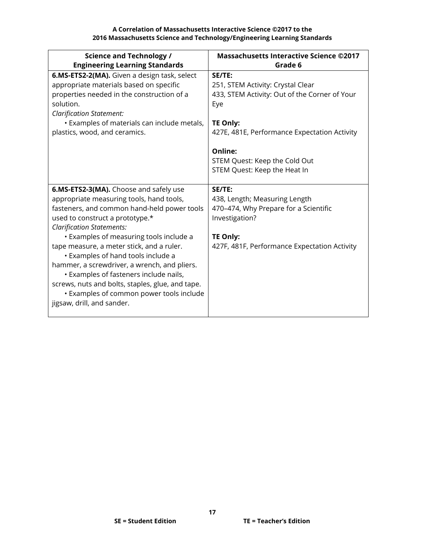| <b>Science and Technology /</b><br><b>Engineering Learning Standards</b>                                                                                                                                                                                                                                                                                                                                                                                                                                                                                       | <b>Massachusetts Interactive Science ©2017</b><br>Grade 6                                                                                                                                                                                   |
|----------------------------------------------------------------------------------------------------------------------------------------------------------------------------------------------------------------------------------------------------------------------------------------------------------------------------------------------------------------------------------------------------------------------------------------------------------------------------------------------------------------------------------------------------------------|---------------------------------------------------------------------------------------------------------------------------------------------------------------------------------------------------------------------------------------------|
| 6.MS-ETS2-2(MA). Given a design task, select<br>appropriate materials based on specific<br>properties needed in the construction of a<br>solution.<br><b>Clarification Statement:</b><br>• Examples of materials can include metals,<br>plastics, wood, and ceramics.                                                                                                                                                                                                                                                                                          | SE/TE:<br>251, STEM Activity: Crystal Clear<br>433, STEM Activity: Out of the Corner of Your<br>Eye<br>TE Only:<br>427E, 481E, Performance Expectation Activity<br>Online:<br>STEM Quest: Keep the Cold Out<br>STEM Quest: Keep the Heat In |
| 6.MS-ETS2-3(MA). Choose and safely use<br>appropriate measuring tools, hand tools,<br>fasteners, and common hand-held power tools<br>used to construct a prototype.*<br><b>Clarification Statements:</b><br>• Examples of measuring tools include a<br>tape measure, a meter stick, and a ruler.<br>• Examples of hand tools include a<br>hammer, a screwdriver, a wrench, and pliers.<br>• Examples of fasteners include nails,<br>screws, nuts and bolts, staples, glue, and tape.<br>• Examples of common power tools include<br>jigsaw, drill, and sander. | SE/TE:<br>438, Length; Measuring Length<br>470-474, Why Prepare for a Scientific<br>Investigation?<br><b>TE Only:</b><br>427F, 481F, Performance Expectation Activity                                                                       |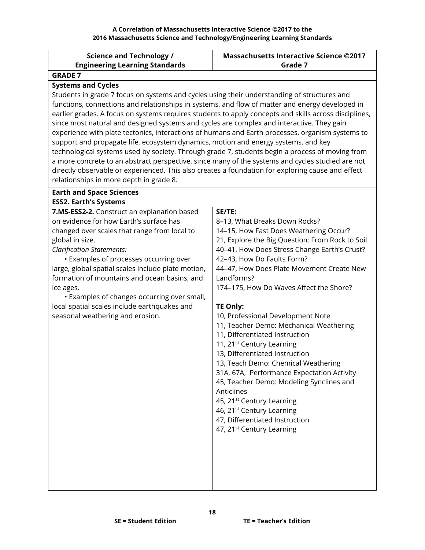**Massachusetts Interactive Science ©2017**

**Science and Technology /**

<span id="page-17-0"></span>

| <b>Engineering Learning Standards</b>                                                                 | Grade 7                                         |  |
|-------------------------------------------------------------------------------------------------------|-------------------------------------------------|--|
| <b>GRADE 7</b>                                                                                        |                                                 |  |
| <b>Systems and Cycles</b>                                                                             |                                                 |  |
| Students in grade 7 focus on systems and cycles using their understanding of structures and           |                                                 |  |
| functions, connections and relationships in systems, and flow of matter and energy developed in       |                                                 |  |
| earlier grades. A focus on systems requires students to apply concepts and skills across disciplines, |                                                 |  |
| since most natural and designed systems and cycles are complex and interactive. They gain             |                                                 |  |
| experience with plate tectonics, interactions of humans and Earth processes, organism systems to      |                                                 |  |
| support and propagate life, ecosystem dynamics, motion and energy systems, and key                    |                                                 |  |
| technological systems used by society. Through grade 7, students begin a process of moving from       |                                                 |  |
| a more concrete to an abstract perspective, since many of the systems and cycles studied are not      |                                                 |  |
| directly observable or experienced. This also creates a foundation for exploring cause and effect     |                                                 |  |
| relationships in more depth in grade 8.                                                               |                                                 |  |
| <b>Earth and Space Sciences</b>                                                                       |                                                 |  |
| <b>ESS2. Earth's Systems</b>                                                                          |                                                 |  |
| 7.MS-ESS2-2. Construct an explanation based                                                           | SE/TE:                                          |  |
| on evidence for how Earth's surface has                                                               | 8-13, What Breaks Down Rocks?                   |  |
| changed over scales that range from local to                                                          | 14-15, How Fast Does Weathering Occur?          |  |
| global in size.                                                                                       | 21, Explore the Big Question: From Rock to Soil |  |
| <b>Clarification Statements:</b>                                                                      | 40-41, How Does Stress Change Earth's Crust?    |  |
| • Examples of processes occurring over                                                                | 42-43, How Do Faults Form?                      |  |
| large, global spatial scales include plate motion,                                                    | 44-47, How Does Plate Movement Create New       |  |
| formation of mountains and ocean basins, and                                                          | Landforms?                                      |  |
| ice ages.                                                                                             | 174-175, How Do Waves Affect the Shore?         |  |
| • Examples of changes occurring over small,<br>local spatial scales include earthquakes and           | TE Only:                                        |  |
| seasonal weathering and erosion.                                                                      | 10, Professional Development Note               |  |
|                                                                                                       | 11, Teacher Demo: Mechanical Weathering         |  |
|                                                                                                       | 11, Differentiated Instruction                  |  |
|                                                                                                       | 11, 21 <sup>st</sup> Century Learning           |  |
|                                                                                                       | 13, Differentiated Instruction                  |  |
|                                                                                                       | 13, Teach Demo: Chemical Weathering             |  |
|                                                                                                       | 31A, 67A, Performance Expectation Activity      |  |
|                                                                                                       | 45, Teacher Demo: Modeling Synclines and        |  |
|                                                                                                       | Anticlines                                      |  |
|                                                                                                       | 45, 21 <sup>st</sup> Century Learning           |  |
|                                                                                                       | 46, 21 <sup>st</sup> Century Learning           |  |
|                                                                                                       | 47, Differentiated Instruction                  |  |
|                                                                                                       | 47, 21 <sup>st</sup> Century Learning           |  |
|                                                                                                       |                                                 |  |
|                                                                                                       |                                                 |  |
|                                                                                                       |                                                 |  |
|                                                                                                       |                                                 |  |
|                                                                                                       |                                                 |  |
|                                                                                                       |                                                 |  |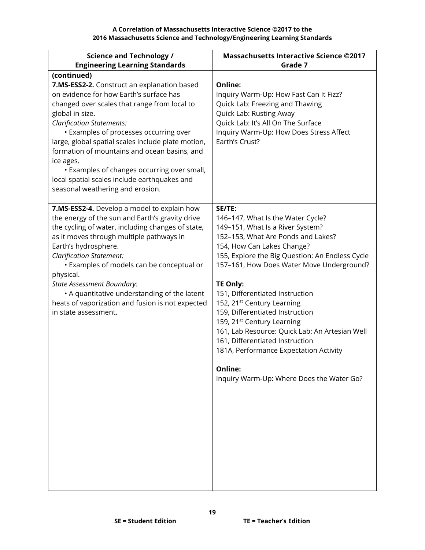| <b>Science and Technology /</b><br><b>Engineering Learning Standards</b>                                                                                                                                                                                                                                                                                                                                                                                                                                     | <b>Massachusetts Interactive Science ©2017</b><br>Grade 7                                                                                                                                                                                                                                                                                                                                                                                                                                                                                                                                                               |
|--------------------------------------------------------------------------------------------------------------------------------------------------------------------------------------------------------------------------------------------------------------------------------------------------------------------------------------------------------------------------------------------------------------------------------------------------------------------------------------------------------------|-------------------------------------------------------------------------------------------------------------------------------------------------------------------------------------------------------------------------------------------------------------------------------------------------------------------------------------------------------------------------------------------------------------------------------------------------------------------------------------------------------------------------------------------------------------------------------------------------------------------------|
| (continued)<br>7.MS-ESS2-2. Construct an explanation based<br>on evidence for how Earth's surface has<br>changed over scales that range from local to<br>global in size.<br><b>Clarification Statements:</b><br>• Examples of processes occurring over<br>large, global spatial scales include plate motion,<br>formation of mountains and ocean basins, and<br>ice ages.<br>• Examples of changes occurring over small,<br>local spatial scales include earthquakes and<br>seasonal weathering and erosion. | Online:<br>Inquiry Warm-Up: How Fast Can It Fizz?<br>Quick Lab: Freezing and Thawing<br>Quick Lab: Rusting Away<br>Quick Lab: It's All On The Surface<br>Inquiry Warm-Up: How Does Stress Affect<br>Earth's Crust?                                                                                                                                                                                                                                                                                                                                                                                                      |
| 7.MS-ESS2-4. Develop a model to explain how<br>the energy of the sun and Earth's gravity drive<br>the cycling of water, including changes of state,<br>as it moves through multiple pathways in<br>Earth's hydrosphere.<br><b>Clarification Statement:</b><br>• Examples of models can be conceptual or<br>physical.<br>State Assessment Boundary:<br>• A quantitative understanding of the latent<br>heats of vaporization and fusion is not expected<br>in state assessment.                               | SE/TE:<br>146-147, What Is the Water Cycle?<br>149-151, What Is a River System?<br>152-153, What Are Ponds and Lakes?<br>154, How Can Lakes Change?<br>155, Explore the Big Question: An Endless Cycle<br>157-161, How Does Water Move Underground?<br><b>TE Only:</b><br>151, Differentiated Instruction<br>152, 21 <sup>st</sup> Century Learning<br>159, Differentiated Instruction<br>159, 21 <sup>st</sup> Century Learning<br>161, Lab Resource: Quick Lab: An Artesian Well<br>161, Differentiated Instruction<br>181A, Performance Expectation Activity<br>Online:<br>Inquiry Warm-Up: Where Does the Water Go? |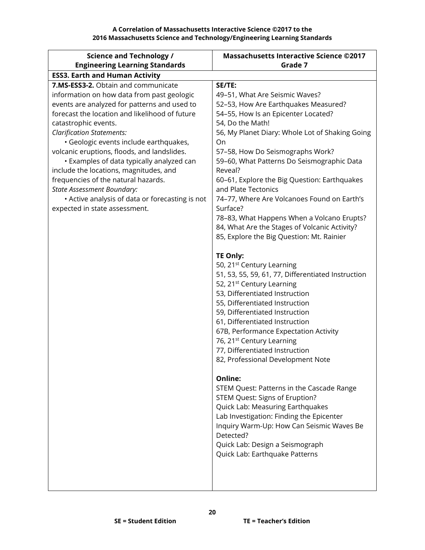| <b>Science and Technology /</b>                 | <b>Massachusetts Interactive Science ©2017</b>          |
|-------------------------------------------------|---------------------------------------------------------|
| <b>Engineering Learning Standards</b>           | Grade 7                                                 |
| <b>ESS3. Earth and Human Activity</b>           |                                                         |
| 7.MS-ESS3-2. Obtain and communicate             | SE/TE:                                                  |
| information on how data from past geologic      | 49-51, What Are Seismic Waves?                          |
| events are analyzed for patterns and used to    | 52-53, How Are Earthquakes Measured?                    |
| forecast the location and likelihood of future  | 54-55, How Is an Epicenter Located?                     |
| catastrophic events.                            | 54, Do the Math!                                        |
| <b>Clarification Statements:</b>                | 56, My Planet Diary: Whole Lot of Shaking Going         |
| · Geologic events include earthquakes,          | On                                                      |
| volcanic eruptions, floods, and landslides.     | 57-58, How Do Seismographs Work?                        |
| • Examples of data typically analyzed can       | 59-60, What Patterns Do Seismographic Data              |
| include the locations, magnitudes, and          | Reveal?                                                 |
| frequencies of the natural hazards.             | 60-61, Explore the Big Question: Earthquakes            |
| <b>State Assessment Boundary:</b>               | and Plate Tectonics                                     |
| • Active analysis of data or forecasting is not | 74-77, Where Are Volcanoes Found on Earth's<br>Surface? |
| expected in state assessment.                   | 78-83, What Happens When a Volcano Erupts?              |
|                                                 | 84, What Are the Stages of Volcanic Activity?           |
|                                                 | 85, Explore the Big Question: Mt. Rainier               |
|                                                 |                                                         |
|                                                 | <b>TE Only:</b>                                         |
|                                                 | 50, 21 <sup>st</sup> Century Learning                   |
|                                                 | 51, 53, 55, 59, 61, 77, Differentiated Instruction      |
|                                                 | 52, 21 <sup>st</sup> Century Learning                   |
|                                                 | 53, Differentiated Instruction                          |
|                                                 | 55, Differentiated Instruction                          |
|                                                 | 59, Differentiated Instruction                          |
|                                                 | 61, Differentiated Instruction                          |
|                                                 | 67B, Performance Expectation Activity                   |
|                                                 | 76, 21 <sup>st</sup> Century Learning                   |
|                                                 | 77, Differentiated Instruction                          |
|                                                 | 82, Professional Development Note                       |
|                                                 | Online:                                                 |
|                                                 | STEM Quest: Patterns in the Cascade Range               |
|                                                 | STEM Quest: Signs of Eruption?                          |
|                                                 | Quick Lab: Measuring Earthquakes                        |
|                                                 | Lab Investigation: Finding the Epicenter                |
|                                                 | Inquiry Warm-Up: How Can Seismic Waves Be               |
|                                                 | Detected?                                               |
|                                                 | Quick Lab: Design a Seismograph                         |
|                                                 | Quick Lab: Earthquake Patterns                          |
|                                                 |                                                         |
|                                                 |                                                         |
|                                                 |                                                         |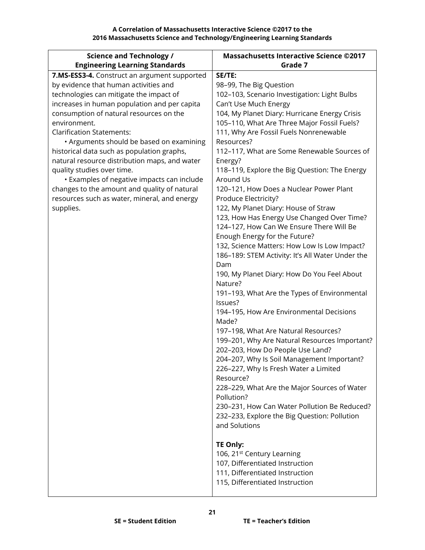**A Correlation of Massachusetts Interactive Science ©2017 to the 2016 Massachusetts Science and Technology/Engineering Learning Standards**

| <b>Science and Technology /</b>               | <b>Massachusetts Interactive Science ©2017</b>          |
|-----------------------------------------------|---------------------------------------------------------|
| <b>Engineering Learning Standards</b>         | Grade 7                                                 |
| 7.MS-ESS3-4. Construct an argument supported  | SE/TE:                                                  |
| by evidence that human activities and         | 98-99, The Big Question                                 |
| technologies can mitigate the impact of       | 102-103, Scenario Investigation: Light Bulbs            |
| increases in human population and per capita  | Can't Use Much Energy                                   |
| consumption of natural resources on the       | 104, My Planet Diary: Hurricane Energy Crisis           |
| environment.                                  | 105-110, What Are Three Major Fossil Fuels?             |
| <b>Clarification Statements:</b>              | 111, Why Are Fossil Fuels Nonrenewable                  |
| • Arguments should be based on examining      | Resources?                                              |
| historical data such as population graphs,    | 112-117, What are Some Renewable Sources of             |
| natural resource distribution maps, and water | Energy?                                                 |
| quality studies over time.                    | 118-119, Explore the Big Question: The Energy           |
| • Examples of negative impacts can include    | Around Us                                               |
| changes to the amount and quality of natural  | 120-121, How Does a Nuclear Power Plant                 |
| resources such as water, mineral, and energy  | Produce Electricity?                                    |
| supplies.                                     | 122, My Planet Diary: House of Straw                    |
|                                               | 123, How Has Energy Use Changed Over Time?              |
|                                               | 124-127, How Can We Ensure There Will Be                |
|                                               | Enough Energy for the Future?                           |
|                                               | 132, Science Matters: How Low Is Low Impact?            |
|                                               | 186-189: STEM Activity: It's All Water Under the        |
|                                               | Dam                                                     |
|                                               | 190, My Planet Diary: How Do You Feel About<br>Nature?  |
|                                               |                                                         |
|                                               | 191-193, What Are the Types of Environmental<br>Issues? |
|                                               | 194-195, How Are Environmental Decisions                |
|                                               | Made?                                                   |
|                                               | 197-198, What Are Natural Resources?                    |
|                                               | 199-201, Why Are Natural Resources Important?           |
|                                               | 202-203, How Do People Use Land?                        |
|                                               | 204-207, Why Is Soil Management Important?              |
|                                               | 226-227, Why Is Fresh Water a Limited                   |
|                                               | Resource?                                               |
|                                               | 228-229, What Are the Major Sources of Water            |
|                                               | Pollution?                                              |
|                                               | 230-231, How Can Water Pollution Be Reduced?            |
|                                               | 232-233, Explore the Big Question: Pollution            |
|                                               | and Solutions                                           |
|                                               |                                                         |
|                                               | <b>TE Only:</b>                                         |
|                                               | 106, 21 <sup>st</sup> Century Learning                  |
|                                               | 107, Differentiated Instruction                         |
|                                               | 111, Differentiated Instruction                         |
|                                               | 115, Differentiated Instruction                         |
|                                               |                                                         |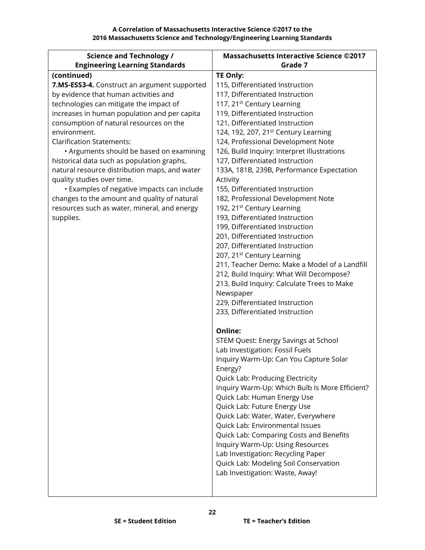| <b>Science and Technology /</b>               | <b>Massachusetts Interactive Science ©2017</b>                              |
|-----------------------------------------------|-----------------------------------------------------------------------------|
| <b>Engineering Learning Standards</b>         | Grade 7                                                                     |
| (continued)                                   | TE Only:                                                                    |
| 7.MS-ESS3-4. Construct an argument supported  | 115, Differentiated Instruction                                             |
| by evidence that human activities and         | 117, Differentiated Instruction                                             |
| technologies can mitigate the impact of       | 117, 21 <sup>st</sup> Century Learning                                      |
| increases in human population and per capita  | 119, Differentiated Instruction                                             |
| consumption of natural resources on the       | 121, Differentiated Instruction                                             |
| environment.                                  | 124, 192, 207, 21 <sup>st</sup> Century Learning                            |
| <b>Clarification Statements:</b>              | 124, Professional Development Note                                          |
| • Arguments should be based on examining      | 126, Build Inquiry: Interpret Illustrations                                 |
| historical data such as population graphs,    | 127, Differentiated Instruction                                             |
| natural resource distribution maps, and water | 133A, 181B, 239B, Performance Expectation                                   |
| quality studies over time.                    | Activity                                                                    |
| • Examples of negative impacts can include    | 155, Differentiated Instruction                                             |
| changes to the amount and quality of natural  | 182, Professional Development Note                                          |
| resources such as water, mineral, and energy  | 192, 21 <sup>st</sup> Century Learning                                      |
| supplies.                                     | 193, Differentiated Instruction                                             |
|                                               | 199, Differentiated Instruction                                             |
|                                               | 201, Differentiated Instruction                                             |
|                                               | 207, Differentiated Instruction                                             |
|                                               | 207, 21 <sup>st</sup> Century Learning                                      |
|                                               | 211, Teacher Demo: Make a Model of a Landfill                               |
|                                               | 212, Build Inquiry: What Will Decompose?                                    |
|                                               | 213, Build Inquiry: Calculate Trees to Make                                 |
|                                               | Newspaper                                                                   |
|                                               | 229, Differentiated Instruction                                             |
|                                               | 233, Differentiated Instruction                                             |
|                                               |                                                                             |
|                                               | <b>Online:</b>                                                              |
|                                               | STEM Quest: Energy Savings at School                                        |
|                                               | Lab Investigation: Fossil Fuels                                             |
|                                               | Inquiry Warm-Up: Can You Capture Solar                                      |
|                                               | Energy?                                                                     |
|                                               | Quick Lab: Producing Electricity                                            |
|                                               | Inquiry Warm-Up: Which Bulb Is More Efficient?                              |
|                                               | Quick Lab: Human Energy Use                                                 |
|                                               | Quick Lab: Future Energy Use                                                |
|                                               | Quick Lab: Water, Water, Everywhere                                         |
|                                               | Quick Lab: Environmental Issues                                             |
|                                               | Quick Lab: Comparing Costs and Benefits<br>Inquiry Warm-Up: Using Resources |
|                                               | Lab Investigation: Recycling Paper                                          |
|                                               | Quick Lab: Modeling Soil Conservation                                       |
|                                               | Lab Investigation: Waste, Away!                                             |
|                                               |                                                                             |
|                                               |                                                                             |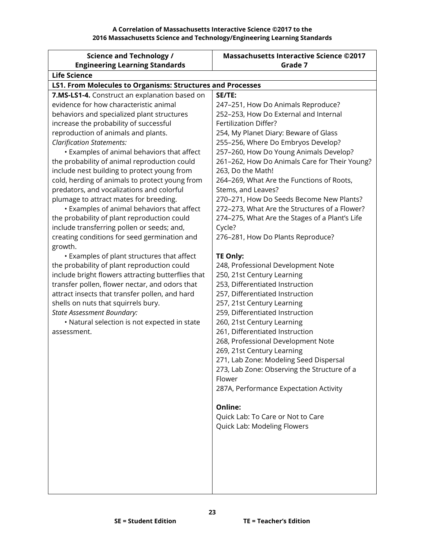| <b>Science and Technology /</b>                                   | <b>Massachusetts Interactive Science ©2017</b> |
|-------------------------------------------------------------------|------------------------------------------------|
| <b>Engineering Learning Standards</b>                             | Grade 7                                        |
| <b>Life Science</b>                                               |                                                |
| <b>LS1. From Molecules to Organisms: Structures and Processes</b> |                                                |
| 7.MS-LS1-4. Construct an explanation based on                     | SE/TE:                                         |
| evidence for how characteristic animal                            | 247-251, How Do Animals Reproduce?             |
| behaviors and specialized plant structures                        | 252-253, How Do External and Internal          |
| increase the probability of successful                            | Fertilization Differ?                          |
| reproduction of animals and plants.                               | 254, My Planet Diary: Beware of Glass          |
| <b>Clarification Statements:</b>                                  | 255-256, Where Do Embryos Develop?             |
| • Examples of animal behaviors that affect                        | 257-260, How Do Young Animals Develop?         |
| the probability of animal reproduction could                      | 261-262, How Do Animals Care for Their Young?  |
| include nest building to protect young from                       | 263, Do the Math!                              |
| cold, herding of animals to protect young from                    | 264-269, What Are the Functions of Roots,      |
| predators, and vocalizations and colorful                         | Stems, and Leaves?                             |
| plumage to attract mates for breeding.                            | 270-271, How Do Seeds Become New Plants?       |
| <b>·</b> Examples of animal behaviors that affect                 | 272-273, What Are the Structures of a Flower?  |
| the probability of plant reproduction could                       | 274-275, What Are the Stages of a Plant's Life |
| include transferring pollen or seeds; and,                        | Cycle?                                         |
| creating conditions for seed germination and                      | 276-281, How Do Plants Reproduce?              |
| growth.                                                           |                                                |
| • Examples of plant structures that affect                        | <b>TE Only:</b>                                |
| the probability of plant reproduction could                       | 248, Professional Development Note             |
| include bright flowers attracting butterflies that                | 250, 21st Century Learning                     |
| transfer pollen, flower nectar, and odors that                    | 253, Differentiated Instruction                |
| attract insects that transfer pollen, and hard                    | 257, Differentiated Instruction                |
| shells on nuts that squirrels bury.                               | 257, 21st Century Learning                     |
| <b>State Assessment Boundary:</b>                                 | 259, Differentiated Instruction                |
| • Natural selection is not expected in state                      | 260, 21st Century Learning                     |
| assessment.                                                       | 261, Differentiated Instruction                |
|                                                                   | 268, Professional Development Note             |
|                                                                   | 269, 21st Century Learning                     |
|                                                                   | 271, Lab Zone: Modeling Seed Dispersal         |
|                                                                   | 273, Lab Zone: Observing the Structure of a    |
|                                                                   | Flower                                         |
|                                                                   | 287A, Performance Expectation Activity         |
|                                                                   | <b>Online:</b>                                 |
|                                                                   | Quick Lab: To Care or Not to Care              |
|                                                                   | Quick Lab: Modeling Flowers                    |
|                                                                   |                                                |
|                                                                   |                                                |
|                                                                   |                                                |
|                                                                   |                                                |
|                                                                   |                                                |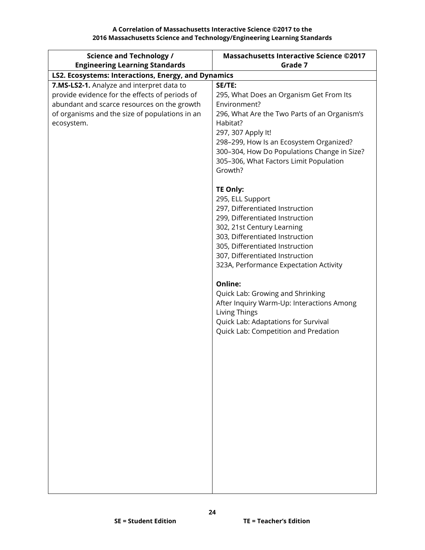| <b>Science and Technology /</b>                     | <b>Massachusetts Interactive Science ©2017</b>      |
|-----------------------------------------------------|-----------------------------------------------------|
| <b>Engineering Learning Standards</b>               | Grade 7                                             |
| LS2. Ecosystems: Interactions, Energy, and Dynamics |                                                     |
| 7.MS-LS2-1. Analyze and interpret data to           | SE/TE:                                              |
| provide evidence for the effects of periods of      | 295, What Does an Organism Get From Its             |
| abundant and scarce resources on the growth         | Environment?                                        |
| of organisms and the size of populations in an      | 296, What Are the Two Parts of an Organism's        |
| ecosystem.                                          | Habitat?                                            |
|                                                     | 297, 307 Apply It!                                  |
|                                                     | 298-299, How Is an Ecosystem Organized?             |
|                                                     | 300-304, How Do Populations Change in Size?         |
|                                                     | 305-306, What Factors Limit Population              |
|                                                     | Growth?                                             |
|                                                     | <b>TE Only:</b>                                     |
|                                                     |                                                     |
|                                                     | 295, ELL Support<br>297, Differentiated Instruction |
|                                                     | 299, Differentiated Instruction                     |
|                                                     | 302, 21st Century Learning                          |
|                                                     | 303, Differentiated Instruction                     |
|                                                     | 305, Differentiated Instruction                     |
|                                                     | 307, Differentiated Instruction                     |
|                                                     | 323A, Performance Expectation Activity              |
|                                                     |                                                     |
|                                                     | Online:                                             |
|                                                     | Quick Lab: Growing and Shrinking                    |
|                                                     | After Inquiry Warm-Up: Interactions Among           |
|                                                     | Living Things                                       |
|                                                     | Quick Lab: Adaptations for Survival                 |
|                                                     | Quick Lab: Competition and Predation                |
|                                                     |                                                     |
|                                                     |                                                     |
|                                                     |                                                     |
|                                                     |                                                     |
|                                                     |                                                     |
|                                                     |                                                     |
|                                                     |                                                     |
|                                                     |                                                     |
|                                                     |                                                     |
|                                                     |                                                     |
|                                                     |                                                     |
|                                                     |                                                     |
|                                                     |                                                     |
|                                                     |                                                     |
|                                                     |                                                     |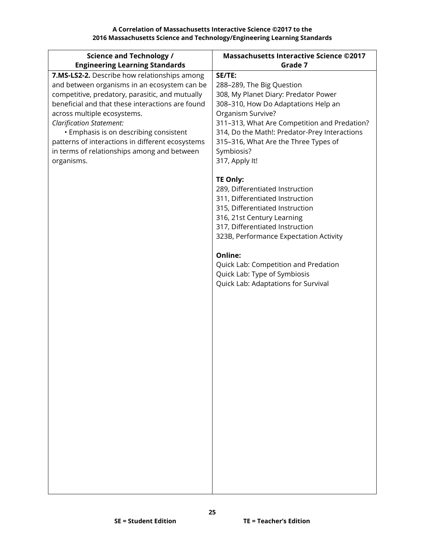| <b>Science and Technology /</b>                                                                 | <b>Massachusetts Interactive Science ©2017</b>     |
|-------------------------------------------------------------------------------------------------|----------------------------------------------------|
| <b>Engineering Learning Standards</b>                                                           | Grade 7                                            |
| 7.MS-LS2-2. Describe how relationships among                                                    | SE/TE:                                             |
| and between organisms in an ecosystem can be                                                    | 288-289, The Big Question                          |
| competitive, predatory, parasitic, and mutually                                                 | 308, My Planet Diary: Predator Power               |
| beneficial and that these interactions are found                                                | 308-310, How Do Adaptations Help an                |
| across multiple ecosystems.                                                                     | Organism Survive?                                  |
| <b>Clarification Statement:</b>                                                                 | 311-313, What Are Competition and Predation?       |
| • Emphasis is on describing consistent                                                          | 314, Do the Math!: Predator-Prey Interactions      |
| patterns of interactions in different ecosystems<br>in terms of relationships among and between | 315-316, What Are the Three Types of<br>Symbiosis? |
| organisms.                                                                                      | 317, Apply It!                                     |
|                                                                                                 |                                                    |
|                                                                                                 | <b>TE Only:</b>                                    |
|                                                                                                 | 289, Differentiated Instruction                    |
|                                                                                                 | 311, Differentiated Instruction                    |
|                                                                                                 | 315, Differentiated Instruction                    |
|                                                                                                 | 316, 21st Century Learning                         |
|                                                                                                 | 317, Differentiated Instruction                    |
|                                                                                                 | 323B, Performance Expectation Activity             |
|                                                                                                 |                                                    |
|                                                                                                 | Online:                                            |
|                                                                                                 | Quick Lab: Competition and Predation               |
|                                                                                                 | Quick Lab: Type of Symbiosis                       |
|                                                                                                 | Quick Lab: Adaptations for Survival                |
|                                                                                                 |                                                    |
|                                                                                                 |                                                    |
|                                                                                                 |                                                    |
|                                                                                                 |                                                    |
|                                                                                                 |                                                    |
|                                                                                                 |                                                    |
|                                                                                                 |                                                    |
|                                                                                                 |                                                    |
|                                                                                                 |                                                    |
|                                                                                                 |                                                    |
|                                                                                                 |                                                    |
|                                                                                                 |                                                    |
|                                                                                                 |                                                    |
|                                                                                                 |                                                    |
|                                                                                                 |                                                    |
|                                                                                                 |                                                    |
|                                                                                                 |                                                    |
|                                                                                                 |                                                    |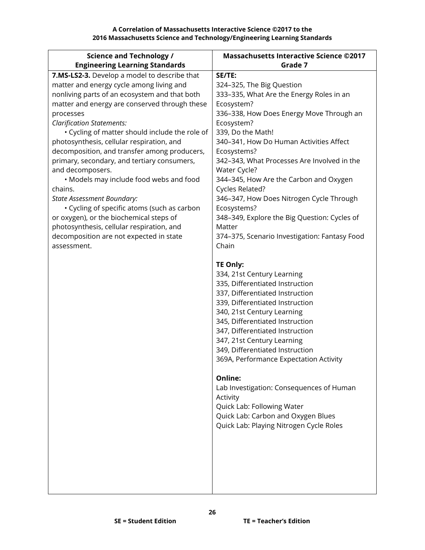| <b>Science and Technology /</b><br><b>Engineering Learning Standards</b>                                                                                                                                                                                                                                                                                                                                                                                                                                                                                                                                                                                                                                                                                  | <b>Massachusetts Interactive Science ©2017</b><br>Grade 7                                                                                                                                                                                                                                                                                                                                                                                                                                                                                                            |
|-----------------------------------------------------------------------------------------------------------------------------------------------------------------------------------------------------------------------------------------------------------------------------------------------------------------------------------------------------------------------------------------------------------------------------------------------------------------------------------------------------------------------------------------------------------------------------------------------------------------------------------------------------------------------------------------------------------------------------------------------------------|----------------------------------------------------------------------------------------------------------------------------------------------------------------------------------------------------------------------------------------------------------------------------------------------------------------------------------------------------------------------------------------------------------------------------------------------------------------------------------------------------------------------------------------------------------------------|
| 7.MS-LS2-3. Develop a model to describe that<br>matter and energy cycle among living and<br>nonliving parts of an ecosystem and that both<br>matter and energy are conserved through these<br>processes<br><b>Clarification Statements:</b><br>• Cycling of matter should include the role of<br>photosynthesis, cellular respiration, and<br>decomposition, and transfer among producers,<br>primary, secondary, and tertiary consumers,<br>and decomposers.<br>• Models may include food webs and food<br>chains.<br><b>State Assessment Boundary:</b><br>• Cycling of specific atoms (such as carbon<br>or oxygen), or the biochemical steps of<br>photosynthesis, cellular respiration, and<br>decomposition are not expected in state<br>assessment. | SE/TE:<br>324-325, The Big Question<br>333-335, What Are the Energy Roles in an<br>Ecosystem?<br>336-338, How Does Energy Move Through an<br>Ecosystem?<br>339, Do the Math!<br>340-341, How Do Human Activities Affect<br>Ecosystems?<br>342-343, What Processes Are Involved in the<br>Water Cycle?<br>344-345, How Are the Carbon and Oxygen<br>Cycles Related?<br>346-347, How Does Nitrogen Cycle Through<br>Ecosystems?<br>348-349, Explore the Big Question: Cycles of<br>Matter<br>374-375, Scenario Investigation: Fantasy Food<br>Chain<br><b>TE Only:</b> |
|                                                                                                                                                                                                                                                                                                                                                                                                                                                                                                                                                                                                                                                                                                                                                           | 334, 21st Century Learning<br>335, Differentiated Instruction<br>337, Differentiated Instruction<br>339, Differentiated Instruction<br>340, 21st Century Learning<br>345, Differentiated Instruction<br>347, Differentiated Instruction<br>347, 21st Century Learning<br>349, Differentiated Instruction<br>369A, Performance Expectation Activity<br>Online:<br>Lab Investigation: Consequences of Human<br>Activity<br>Quick Lab: Following Water<br>Quick Lab: Carbon and Oxygen Blues<br>Quick Lab: Playing Nitrogen Cycle Roles                                 |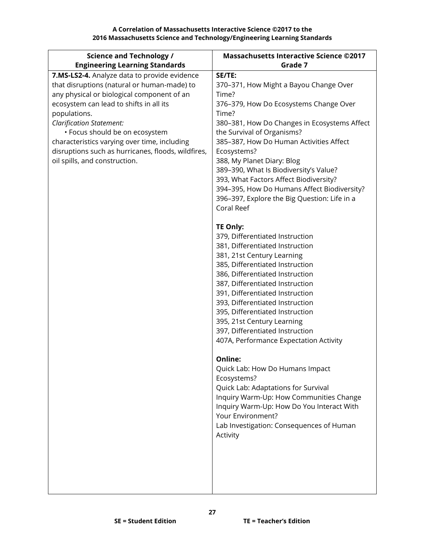| <b>Science and Technology /</b>                                                                                                                                                                                                                                                                                                                                                                                  | <b>Massachusetts Interactive Science ©2017</b>                                                                                                                                                                                                                                                                                                                                                                                                                                                                                                                                                                                                                                                                                                                                                                                                                                                                                                                                                       |
|------------------------------------------------------------------------------------------------------------------------------------------------------------------------------------------------------------------------------------------------------------------------------------------------------------------------------------------------------------------------------------------------------------------|------------------------------------------------------------------------------------------------------------------------------------------------------------------------------------------------------------------------------------------------------------------------------------------------------------------------------------------------------------------------------------------------------------------------------------------------------------------------------------------------------------------------------------------------------------------------------------------------------------------------------------------------------------------------------------------------------------------------------------------------------------------------------------------------------------------------------------------------------------------------------------------------------------------------------------------------------------------------------------------------------|
| <b>Engineering Learning Standards</b>                                                                                                                                                                                                                                                                                                                                                                            | Grade 7                                                                                                                                                                                                                                                                                                                                                                                                                                                                                                                                                                                                                                                                                                                                                                                                                                                                                                                                                                                              |
| 7.MS-LS2-4. Analyze data to provide evidence<br>that disruptions (natural or human-made) to<br>any physical or biological component of an<br>ecosystem can lead to shifts in all its<br>populations.<br><b>Clarification Statement:</b><br>• Focus should be on ecosystem<br>characteristics varying over time, including<br>disruptions such as hurricanes, floods, wildfires,<br>oil spills, and construction. | SE/TE:<br>370-371, How Might a Bayou Change Over<br>Time?<br>376-379, How Do Ecosystems Change Over<br>Time?<br>380-381, How Do Changes in Ecosystems Affect<br>the Survival of Organisms?<br>385-387, How Do Human Activities Affect<br>Ecosystems?<br>388, My Planet Diary: Blog<br>389-390, What Is Biodiversity's Value?<br>393, What Factors Affect Biodiversity?<br>394-395, How Do Humans Affect Biodiversity?<br>396-397, Explore the Big Question: Life in a<br>Coral Reef<br><b>TE Only:</b><br>379, Differentiated Instruction<br>381, Differentiated Instruction<br>381, 21st Century Learning<br>385, Differentiated Instruction<br>386, Differentiated Instruction<br>387, Differentiated Instruction<br>391, Differentiated Instruction<br>393, Differentiated Instruction<br>395, Differentiated Instruction<br>395, 21st Century Learning<br>397, Differentiated Instruction<br>407A, Performance Expectation Activity<br>Online:<br>Quick Lab: How Do Humans Impact<br>Ecosystems? |
|                                                                                                                                                                                                                                                                                                                                                                                                                  | Quick Lab: Adaptations for Survival<br>Inquiry Warm-Up: How Communities Change<br>Inquiry Warm-Up: How Do You Interact With<br>Your Environment?<br>Lab Investigation: Consequences of Human<br>Activity                                                                                                                                                                                                                                                                                                                                                                                                                                                                                                                                                                                                                                                                                                                                                                                             |
|                                                                                                                                                                                                                                                                                                                                                                                                                  |                                                                                                                                                                                                                                                                                                                                                                                                                                                                                                                                                                                                                                                                                                                                                                                                                                                                                                                                                                                                      |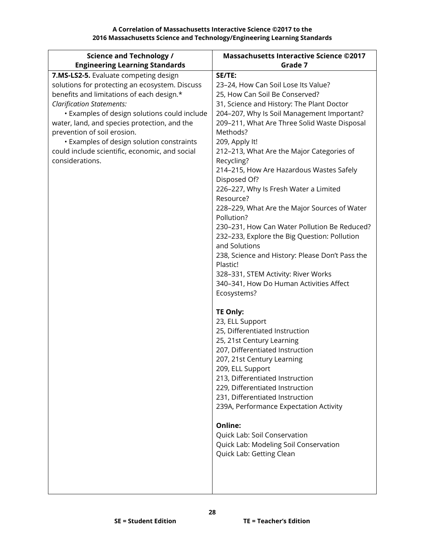| <b>Science and Technology /</b>                | <b>Massachusetts Interactive Science ©2017</b>      |
|------------------------------------------------|-----------------------------------------------------|
| <b>Engineering Learning Standards</b>          | Grade 7                                             |
| 7.MS-LS2-5. Evaluate competing design          | SE/TE:                                              |
| solutions for protecting an ecosystem. Discuss | 23-24, How Can Soil Lose Its Value?                 |
| benefits and limitations of each design.*      | 25, How Can Soil Be Conserved?                      |
| <b>Clarification Statements:</b>               | 31, Science and History: The Plant Doctor           |
| · Examples of design solutions could include   | 204-207, Why Is Soil Management Important?          |
| water, land, and species protection, and the   | 209-211, What Are Three Solid Waste Disposal        |
| prevention of soil erosion.                    | Methods?                                            |
| • Examples of design solution constraints      | 209, Apply It!                                      |
| could include scientific, economic, and social | 212-213, What Are the Major Categories of           |
| considerations.                                | Recycling?                                          |
|                                                | 214-215, How Are Hazardous Wastes Safely            |
|                                                | Disposed Of?                                        |
|                                                | 226-227, Why Is Fresh Water a Limited<br>Resource?  |
|                                                | 228-229, What Are the Major Sources of Water        |
|                                                | Pollution?                                          |
|                                                | 230-231, How Can Water Pollution Be Reduced?        |
|                                                | 232-233, Explore the Big Question: Pollution        |
|                                                | and Solutions                                       |
|                                                | 238, Science and History: Please Don't Pass the     |
|                                                | Plastic!                                            |
|                                                | 328-331, STEM Activity: River Works                 |
|                                                | 340-341, How Do Human Activities Affect             |
|                                                | Ecosystems?                                         |
|                                                |                                                     |
|                                                | <b>TE Only:</b>                                     |
|                                                | 23, ELL Support                                     |
|                                                | 25, Differentiated Instruction                      |
|                                                | 25, 21st Century Learning                           |
|                                                | 207, Differentiated Instruction                     |
|                                                | 207, 21st Century Learning                          |
|                                                | 209, ELL Support<br>213, Differentiated Instruction |
|                                                | 229, Differentiated Instruction                     |
|                                                | 231, Differentiated Instruction                     |
|                                                | 239A, Performance Expectation Activity              |
|                                                |                                                     |
|                                                | Online:                                             |
|                                                | Quick Lab: Soil Conservation                        |
|                                                | Quick Lab: Modeling Soil Conservation               |
|                                                | Quick Lab: Getting Clean                            |
|                                                |                                                     |
|                                                |                                                     |
|                                                |                                                     |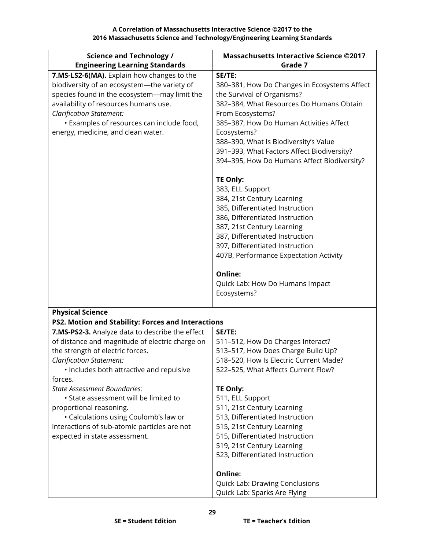| <b>Science and Technology /</b>                    | <b>Massachusetts Interactive Science ©2017</b> |
|----------------------------------------------------|------------------------------------------------|
| <b>Engineering Learning Standards</b>              | Grade 7                                        |
| 7.MS-LS2-6(MA). Explain how changes to the         | SE/TE:                                         |
| biodiversity of an ecosystem-the variety of        | 380-381, How Do Changes in Ecosystems Affect   |
| species found in the ecosystem-may limit the       | the Survival of Organisms?                     |
| availability of resources humans use.              | 382-384, What Resources Do Humans Obtain       |
| <b>Clarification Statement:</b>                    | From Ecosystems?                               |
| · Examples of resources can include food,          | 385-387, How Do Human Activities Affect        |
| energy, medicine, and clean water.                 | Ecosystems?                                    |
|                                                    | 388-390, What Is Biodiversity's Value          |
|                                                    | 391-393, What Factors Affect Biodiversity?     |
|                                                    | 394-395, How Do Humans Affect Biodiversity?    |
|                                                    | <b>TE Only:</b>                                |
|                                                    | 383, ELL Support                               |
|                                                    | 384, 21st Century Learning                     |
|                                                    | 385, Differentiated Instruction                |
|                                                    | 386, Differentiated Instruction                |
|                                                    | 387, 21st Century Learning                     |
|                                                    | 387, Differentiated Instruction                |
|                                                    | 397, Differentiated Instruction                |
|                                                    | 407B, Performance Expectation Activity         |
|                                                    | Online:                                        |
|                                                    | Quick Lab: How Do Humans Impact                |
|                                                    | Ecosystems?                                    |
| <b>Physical Science</b>                            |                                                |
| PS2. Motion and Stability: Forces and Interactions |                                                |
| 7.MS-PS2-3. Analyze data to describe the effect    | SE/TE:                                         |
| of distance and magnitude of electric charge on    | 511-512, How Do Charges Interact?              |
| the strength of electric forces.                   | 513-517, How Does Charge Build Up?             |
| <b>Clarification Statement:</b>                    | 518-520. How Is Electric Current Made?         |
| · Includes both attractive and repulsive           | 522-525, What Affects Current Flow?            |
| forces.                                            |                                                |
| <b>State Assessment Boundaries:</b>                | <b>TE Only:</b>                                |
| • State assessment will be limited to              | 511, ELL Support                               |
| proportional reasoning.                            | 511, 21st Century Learning                     |
| · Calculations using Coulomb's law or              | 513, Differentiated Instruction                |
| interactions of sub-atomic particles are not       | 515, 21st Century Learning                     |
| expected in state assessment.                      | 515, Differentiated Instruction                |
|                                                    | 519, 21st Century Learning                     |
|                                                    | 523, Differentiated Instruction                |
|                                                    | Online:                                        |
|                                                    | Quick Lab: Drawing Conclusions                 |
|                                                    | Quick Lab: Sparks Are Flying                   |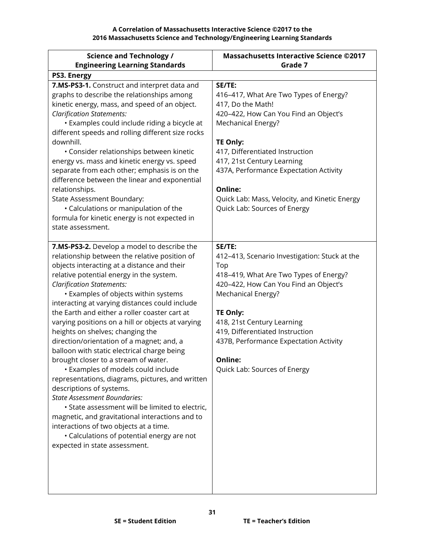| <b>Science and Technology /</b><br><b>Engineering Learning Standards</b>                                                                                                                                                                                                                                                                                                                                                                                                                                                                                                                                                                                                                                                                                                                                                                                                                                                                                                                        | <b>Massachusetts Interactive Science ©2017</b><br>Grade 7                                                                                                                                                                                                                                                                                                      |
|-------------------------------------------------------------------------------------------------------------------------------------------------------------------------------------------------------------------------------------------------------------------------------------------------------------------------------------------------------------------------------------------------------------------------------------------------------------------------------------------------------------------------------------------------------------------------------------------------------------------------------------------------------------------------------------------------------------------------------------------------------------------------------------------------------------------------------------------------------------------------------------------------------------------------------------------------------------------------------------------------|----------------------------------------------------------------------------------------------------------------------------------------------------------------------------------------------------------------------------------------------------------------------------------------------------------------------------------------------------------------|
| PS3. Energy                                                                                                                                                                                                                                                                                                                                                                                                                                                                                                                                                                                                                                                                                                                                                                                                                                                                                                                                                                                     |                                                                                                                                                                                                                                                                                                                                                                |
| 7.MS-PS3-1. Construct and interpret data and<br>graphs to describe the relationships among<br>kinetic energy, mass, and speed of an object.<br><b>Clarification Statements:</b><br>• Examples could include riding a bicycle at<br>different speeds and rolling different size rocks<br>downhill.<br>• Consider relationships between kinetic<br>energy vs. mass and kinetic energy vs. speed<br>separate from each other; emphasis is on the<br>difference between the linear and exponential<br>relationships.<br>State Assessment Boundary:<br>• Calculations or manipulation of the<br>formula for kinetic energy is not expected in<br>state assessment.                                                                                                                                                                                                                                                                                                                                   | SE/TE:<br>416-417, What Are Two Types of Energy?<br>417, Do the Math!<br>420-422, How Can You Find an Object's<br>Mechanical Energy?<br><b>TE Only:</b><br>417, Differentiated Instruction<br>417, 21st Century Learning<br>437A, Performance Expectation Activity<br>Online:<br>Quick Lab: Mass, Velocity, and Kinetic Energy<br>Quick Lab: Sources of Energy |
| 7.MS-PS3-2. Develop a model to describe the<br>relationship between the relative position of<br>objects interacting at a distance and their<br>relative potential energy in the system.<br><b>Clarification Statements:</b><br>· Examples of objects within systems<br>interacting at varying distances could include<br>the Earth and either a roller coaster cart at<br>varying positions on a hill or objects at varying<br>heights on shelves; changing the<br>direction/orientation of a magnet; and, a<br>balloon with static electrical charge being<br>brought closer to a stream of water.<br>• Examples of models could include<br>representations, diagrams, pictures, and written<br>descriptions of systems.<br><b>State Assessment Boundaries:</b><br>· State assessment will be limited to electric,<br>magnetic, and gravitational interactions and to<br>interactions of two objects at a time.<br>• Calculations of potential energy are not<br>expected in state assessment. | SE/TE:<br>412-413, Scenario Investigation: Stuck at the<br>Top<br>418-419, What Are Two Types of Energy?<br>420-422, How Can You Find an Object's<br>Mechanical Energy?<br><b>TE Only:</b><br>418, 21st Century Learning<br>419, Differentiated Instruction<br>437B, Performance Expectation Activity<br>Online:<br>Quick Lab: Sources of Energy               |

**31**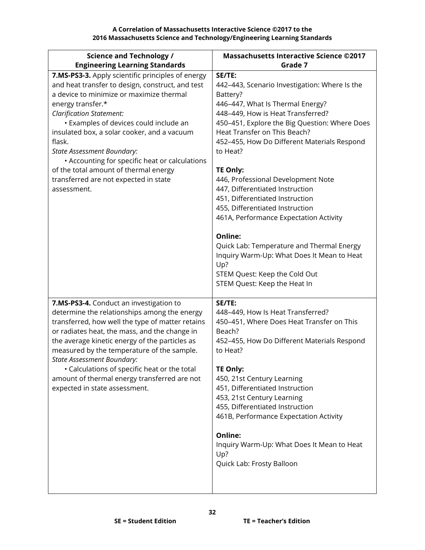**A Correlation of Massachusetts Interactive Science ©2017 to the 2016 Massachusetts Science and Technology/Engineering Learning Standards**

| <b>Science and Technology /</b>                                                                                                                                                                                                                                                                                                                                                                                                                                                                      | <b>Massachusetts Interactive Science ©2017</b>                                                                                                                                                                                                                                                                                                                                                                                                                                                                                                                                                                                                                                     |
|------------------------------------------------------------------------------------------------------------------------------------------------------------------------------------------------------------------------------------------------------------------------------------------------------------------------------------------------------------------------------------------------------------------------------------------------------------------------------------------------------|------------------------------------------------------------------------------------------------------------------------------------------------------------------------------------------------------------------------------------------------------------------------------------------------------------------------------------------------------------------------------------------------------------------------------------------------------------------------------------------------------------------------------------------------------------------------------------------------------------------------------------------------------------------------------------|
| <b>Engineering Learning Standards</b>                                                                                                                                                                                                                                                                                                                                                                                                                                                                | Grade 7                                                                                                                                                                                                                                                                                                                                                                                                                                                                                                                                                                                                                                                                            |
| 7.MS-PS3-3. Apply scientific principles of energy<br>and heat transfer to design, construct, and test<br>a device to minimize or maximize thermal<br>energy transfer.*<br><b>Clarification Statement:</b><br>• Examples of devices could include an<br>insulated box, a solar cooker, and a vacuum<br>flask.<br><b>State Assessment Boundary:</b><br>• Accounting for specific heat or calculations<br>of the total amount of thermal energy<br>transferred are not expected in state<br>assessment. | SE/TE:<br>442-443, Scenario Investigation: Where Is the<br>Battery?<br>446-447, What Is Thermal Energy?<br>448-449, How is Heat Transferred?<br>450-451, Explore the Big Question: Where Does<br>Heat Transfer on This Beach?<br>452-455, How Do Different Materials Respond<br>to Heat?<br><b>TE Only:</b><br>446, Professional Development Note<br>447, Differentiated Instruction<br>451, Differentiated Instruction<br>455, Differentiated Instruction<br>461A, Performance Expectation Activity<br>Online:<br>Quick Lab: Temperature and Thermal Energy<br>Inquiry Warm-Up: What Does It Mean to Heat<br>Up?<br>STEM Quest: Keep the Cold Out<br>STEM Quest: Keep the Heat In |
| 7.MS-PS3-4. Conduct an investigation to<br>determine the relationships among the energy<br>transferred, how well the type of matter retains<br>or radiates heat, the mass, and the change in<br>the average kinetic energy of the particles as<br>measured by the temperature of the sample.<br><b>State Assessment Boundary:</b><br>• Calculations of specific heat or the total<br>amount of thermal energy transferred are not<br>expected in state assessment.                                   | SE/TE:<br>448-449, How Is Heat Transferred?<br>450-451, Where Does Heat Transfer on This<br>Beach?<br>452-455, How Do Different Materials Respond<br>to Heat?<br><b>TE Only:</b><br>450, 21st Century Learning<br>451, Differentiated Instruction<br>453, 21st Century Learning<br>455, Differentiated Instruction<br>461B, Performance Expectation Activity<br>Online:<br>Inquiry Warm-Up: What Does It Mean to Heat<br>Up?<br>Quick Lab: Frosty Balloon                                                                                                                                                                                                                          |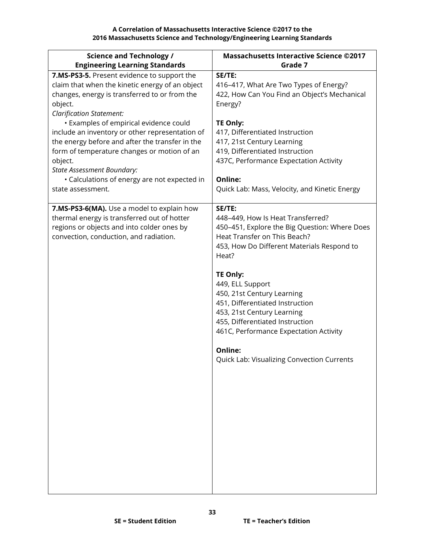| <b>Science and Technology /</b>                                                                                                                                                                                                                                        | <b>Massachusetts Interactive Science ©2017</b>                                                                                                                                                                                                                                                                                                                                                                                                                         |
|------------------------------------------------------------------------------------------------------------------------------------------------------------------------------------------------------------------------------------------------------------------------|------------------------------------------------------------------------------------------------------------------------------------------------------------------------------------------------------------------------------------------------------------------------------------------------------------------------------------------------------------------------------------------------------------------------------------------------------------------------|
| <b>Engineering Learning Standards</b>                                                                                                                                                                                                                                  | Grade 7                                                                                                                                                                                                                                                                                                                                                                                                                                                                |
| 7.MS-PS3-5. Present evidence to support the<br>claim that when the kinetic energy of an object<br>changes, energy is transferred to or from the<br>object.<br><b>Clarification Statement:</b><br>• Examples of empirical evidence could                                | SE/TE:<br>416-417, What Are Two Types of Energy?<br>422, How Can You Find an Object's Mechanical<br>Energy?<br><b>TE Only:</b>                                                                                                                                                                                                                                                                                                                                         |
| include an inventory or other representation of<br>the energy before and after the transfer in the<br>form of temperature changes or motion of an<br>object.<br><b>State Assessment Boundary:</b><br>• Calculations of energy are not expected in<br>state assessment. | 417, Differentiated Instruction<br>417, 21st Century Learning<br>419, Differentiated Instruction<br>437C, Performance Expectation Activity<br>Online:<br>Quick Lab: Mass, Velocity, and Kinetic Energy                                                                                                                                                                                                                                                                 |
|                                                                                                                                                                                                                                                                        |                                                                                                                                                                                                                                                                                                                                                                                                                                                                        |
| 7.MS-PS3-6(MA). Use a model to explain how<br>thermal energy is transferred out of hotter<br>regions or objects and into colder ones by<br>convection, conduction, and radiation.                                                                                      | SE/TE:<br>448-449, How Is Heat Transferred?<br>450-451, Explore the Big Question: Where Does<br>Heat Transfer on This Beach?<br>453, How Do Different Materials Respond to<br>Heat?<br><b>TE Only:</b><br>449, ELL Support<br>450, 21st Century Learning<br>451, Differentiated Instruction<br>453, 21st Century Learning<br>455, Differentiated Instruction<br>461C, Performance Expectation Activity<br>Online:<br><b>Quick Lab: Visualizing Convection Currents</b> |
|                                                                                                                                                                                                                                                                        |                                                                                                                                                                                                                                                                                                                                                                                                                                                                        |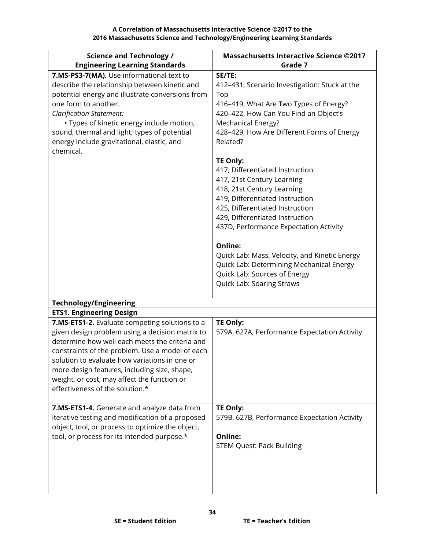**A Correlation of Massachusetts Interactive Science ©2017 to the 2016 Massachusetts Science and Technology/Engineering Learning Standards**

| <b>Science and Technology /</b><br><b>Engineering Learning Standards</b>                                                                                                                                                                                                                                                                                          | <b>Massachusetts Interactive Science ©2017</b><br>Grade 7                                                                                                                                                                                                                                                                                                                                                                                                                                       |
|-------------------------------------------------------------------------------------------------------------------------------------------------------------------------------------------------------------------------------------------------------------------------------------------------------------------------------------------------------------------|-------------------------------------------------------------------------------------------------------------------------------------------------------------------------------------------------------------------------------------------------------------------------------------------------------------------------------------------------------------------------------------------------------------------------------------------------------------------------------------------------|
|                                                                                                                                                                                                                                                                                                                                                                   |                                                                                                                                                                                                                                                                                                                                                                                                                                                                                                 |
| 7.MS-PS3-7(MA). Use informational text to<br>describe the relationship between kinetic and<br>potential energy and illustrate conversions from<br>one form to another.<br><b>Clarification Statement:</b><br>· Types of kinetic energy include motion,<br>sound, thermal and light; types of potential<br>energy include gravitational, elastic, and<br>chemical. | SE/TE:<br>412-431, Scenario Investigation: Stuck at the<br>Top<br>416-419, What Are Two Types of Energy?<br>420-422, How Can You Find an Object's<br>Mechanical Energy?<br>428-429, How Are Different Forms of Energy<br>Related?<br>TE Only:<br>417, Differentiated Instruction<br>417, 21st Century Learning<br>418, 21st Century Learning<br>419, Differentiated Instruction<br>425, Differentiated Instruction<br>429, Differentiated Instruction<br>437D, Performance Expectation Activity |
|                                                                                                                                                                                                                                                                                                                                                                   | <b>Online:</b><br>Quick Lab: Mass, Velocity, and Kinetic Energy<br>Quick Lab: Determining Mechanical Energy<br>Quick Lab: Sources of Energy<br>Quick Lab: Soaring Straws                                                                                                                                                                                                                                                                                                                        |
| <b>Technology/Engineering</b>                                                                                                                                                                                                                                                                                                                                     |                                                                                                                                                                                                                                                                                                                                                                                                                                                                                                 |
| <b>ETS1. Engineering Design</b>                                                                                                                                                                                                                                                                                                                                   |                                                                                                                                                                                                                                                                                                                                                                                                                                                                                                 |
| 7.MS-ETS1-2. Evaluate competing solutions to a                                                                                                                                                                                                                                                                                                                    | TE Only:                                                                                                                                                                                                                                                                                                                                                                                                                                                                                        |
| given design problem using a decision matrix to<br>determine how well each meets the criteria and<br>constraints of the problem. Use a model of each<br>solution to evaluate how variations in one or<br>more design features, including size, shape,<br>weight, or cost, may affect the function or<br>effectiveness of the solution.*                           | 579A, 627A, Performance Expectation Activity                                                                                                                                                                                                                                                                                                                                                                                                                                                    |
| 7.MS-ETS1-4. Generate and analyze data from                                                                                                                                                                                                                                                                                                                       | TE Only:                                                                                                                                                                                                                                                                                                                                                                                                                                                                                        |
| iterative testing and modification of a proposed<br>object, tool, or process to optimize the object,<br>tool, or process for its intended purpose.*                                                                                                                                                                                                               | 579B, 627B, Performance Expectation Activity<br>Online:<br><b>STEM Quest: Pack Building</b>                                                                                                                                                                                                                                                                                                                                                                                                     |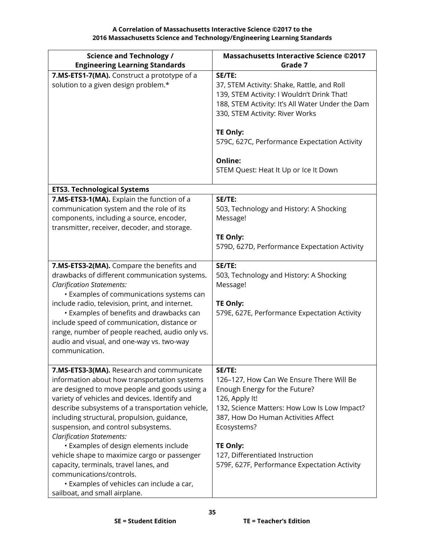| <b>Science and Technology /</b>                                                                                                                                                                                                                                                                                                                                                                                                                                                                                                                                                                                        | <b>Massachusetts Interactive Science ©2017</b>                                                                                                                                                                                                                                                                    |
|------------------------------------------------------------------------------------------------------------------------------------------------------------------------------------------------------------------------------------------------------------------------------------------------------------------------------------------------------------------------------------------------------------------------------------------------------------------------------------------------------------------------------------------------------------------------------------------------------------------------|-------------------------------------------------------------------------------------------------------------------------------------------------------------------------------------------------------------------------------------------------------------------------------------------------------------------|
| <b>Engineering Learning Standards</b>                                                                                                                                                                                                                                                                                                                                                                                                                                                                                                                                                                                  | Grade 7                                                                                                                                                                                                                                                                                                           |
| 7.MS-ETS1-7(MA). Construct a prototype of a<br>solution to a given design problem.*                                                                                                                                                                                                                                                                                                                                                                                                                                                                                                                                    | SE/TE:<br>37, STEM Activity: Shake, Rattle, and Roll<br>139, STEM Activity: I Wouldn't Drink That!<br>188, STEM Activity: It's All Water Under the Dam<br>330, STEM Activity: River Works<br>TE Only:<br>579C, 627C, Performance Expectation Activity<br>Online:<br>STEM Quest: Heat It Up or Ice It Down         |
| <b>ETS3. Technological Systems</b>                                                                                                                                                                                                                                                                                                                                                                                                                                                                                                                                                                                     |                                                                                                                                                                                                                                                                                                                   |
| 7.MS-ETS3-1(MA). Explain the function of a<br>communication system and the role of its<br>components, including a source, encoder,<br>transmitter, receiver, decoder, and storage.                                                                                                                                                                                                                                                                                                                                                                                                                                     | SE/TE:<br>503, Technology and History: A Shocking<br>Message!<br>TE Only:<br>579D, 627D, Performance Expectation Activity                                                                                                                                                                                         |
| 7.MS-ETS3-2(MA). Compare the benefits and<br>drawbacks of different communication systems.<br><b>Clarification Statements:</b><br>• Examples of communications systems can<br>include radio, television, print, and internet.<br>• Examples of benefits and drawbacks can<br>include speed of communication, distance or<br>range, number of people reached, audio only vs.<br>audio and visual, and one-way vs. two-way<br>communication.                                                                                                                                                                             | SE/TE:<br>503, Technology and History: A Shocking<br>Message!<br><b>TE Only:</b><br>579E, 627E, Performance Expectation Activity                                                                                                                                                                                  |
| 7.MS-ETS3-3(MA). Research and communicate<br>information about how transportation systems<br>are designed to move people and goods using a<br>variety of vehicles and devices. Identify and<br>describe subsystems of a transportation vehicle,<br>including structural, propulsion, guidance,<br>suspension, and control subsystems.<br><b>Clarification Statements:</b><br>• Examples of design elements include<br>vehicle shape to maximize cargo or passenger<br>capacity, terminals, travel lanes, and<br>communications/controls.<br>• Examples of vehicles can include a car,<br>sailboat, and small airplane. | SE/TE:<br>126-127, How Can We Ensure There Will Be<br>Enough Energy for the Future?<br>126, Apply It!<br>132, Science Matters: How Low Is Low Impact?<br>387, How Do Human Activities Affect<br>Ecosystems?<br><b>TE Only:</b><br>127, Differentiated Instruction<br>579F, 627F, Performance Expectation Activity |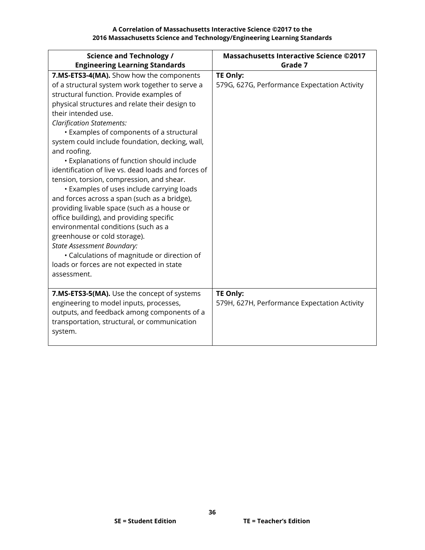| <b>Science and Technology /</b><br><b>Engineering Learning Standards</b>                                                                                                                                                                                                                                                                                                                                                                                                                                                                                                                                                                                                                                                                                                                                                                                                                                                                   | <b>Massachusetts Interactive Science ©2017</b><br>Grade 7       |
|--------------------------------------------------------------------------------------------------------------------------------------------------------------------------------------------------------------------------------------------------------------------------------------------------------------------------------------------------------------------------------------------------------------------------------------------------------------------------------------------------------------------------------------------------------------------------------------------------------------------------------------------------------------------------------------------------------------------------------------------------------------------------------------------------------------------------------------------------------------------------------------------------------------------------------------------|-----------------------------------------------------------------|
| 7.MS-ETS3-4(MA). Show how the components<br>of a structural system work together to serve a<br>structural function. Provide examples of<br>physical structures and relate their design to<br>their intended use.<br><b>Clarification Statements:</b><br>• Examples of components of a structural<br>system could include foundation, decking, wall,<br>and roofing.<br>• Explanations of function should include<br>identification of live vs. dead loads and forces of<br>tension, torsion, compression, and shear.<br><b>·</b> Examples of uses include carrying loads<br>and forces across a span (such as a bridge),<br>providing livable space (such as a house or<br>office building), and providing specific<br>environmental conditions (such as a<br>greenhouse or cold storage).<br><b>State Assessment Boundary:</b><br>• Calculations of magnitude or direction of<br>loads or forces are not expected in state<br>assessment. | <b>TE Only:</b><br>579G, 627G, Performance Expectation Activity |
| 7.MS-ETS3-5(MA). Use the concept of systems<br>engineering to model inputs, processes,<br>outputs, and feedback among components of a<br>transportation, structural, or communication<br>system.                                                                                                                                                                                                                                                                                                                                                                                                                                                                                                                                                                                                                                                                                                                                           | <b>TE Only:</b><br>579H, 627H, Performance Expectation Activity |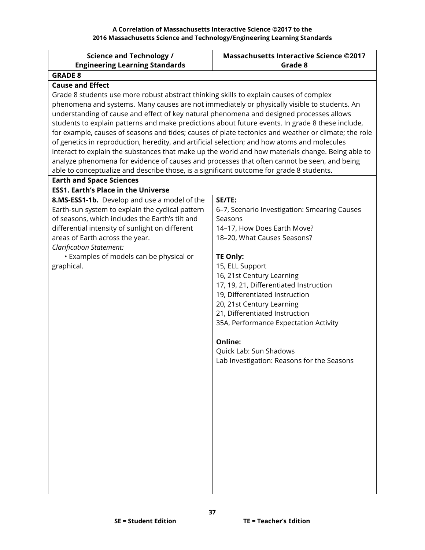<span id="page-36-0"></span>

| <b>Science and Technology /</b>                                                                      | <b>Massachusetts Interactive Science ©2017</b> |
|------------------------------------------------------------------------------------------------------|------------------------------------------------|
| <b>Engineering Learning Standards</b>                                                                | Grade 8                                        |
| <b>GRADE 8</b>                                                                                       |                                                |
| <b>Cause and Effect</b>                                                                              |                                                |
| Grade 8 students use more robust abstract thinking skills to explain causes of complex               |                                                |
| phenomena and systems. Many causes are not immediately or physically visible to students. An         |                                                |
| understanding of cause and effect of key natural phenomena and designed processes allows             |                                                |
| students to explain patterns and make predictions about future events. In grade 8 these include,     |                                                |
| for example, causes of seasons and tides; causes of plate tectonics and weather or climate; the role |                                                |
| of genetics in reproduction, heredity, and artificial selection; and how atoms and molecules         |                                                |
| interact to explain the substances that make up the world and how materials change. Being able to    |                                                |
| analyze phenomena for evidence of causes and processes that often cannot be seen, and being          |                                                |
| able to conceptualize and describe those, is a significant outcome for grade 8 students.             |                                                |
| <b>Earth and Space Sciences</b>                                                                      |                                                |
| <b>ESS1. Earth's Place in the Universe</b>                                                           |                                                |
| 8.MS-ESS1-1b. Develop and use a model of the                                                         | SE/TE:                                         |
| Earth-sun system to explain the cyclical pattern                                                     | 6-7, Scenario Investigation: Smearing Causes   |
| of seasons, which includes the Earth's tilt and                                                      | Seasons                                        |
| differential intensity of sunlight on different                                                      | 14-17, How Does Earth Move?                    |
| areas of Earth across the year.                                                                      | 18-20, What Causes Seasons?                    |
| <b>Clarification Statement:</b><br>• Examples of models can be physical or                           | <b>TE Only:</b>                                |
| graphical.                                                                                           | 15, ELL Support                                |
|                                                                                                      | 16, 21st Century Learning                      |
|                                                                                                      | 17, 19, 21, Differentiated Instruction         |
|                                                                                                      | 19, Differentiated Instruction                 |
|                                                                                                      | 20, 21st Century Learning                      |
|                                                                                                      | 21, Differentiated Instruction                 |
|                                                                                                      | 35A, Performance Expectation Activity          |
|                                                                                                      |                                                |
|                                                                                                      | Online:                                        |
|                                                                                                      | Quick Lab: Sun Shadows                         |
|                                                                                                      | Lab Investigation: Reasons for the Seasons     |
|                                                                                                      |                                                |
|                                                                                                      |                                                |
|                                                                                                      |                                                |
|                                                                                                      |                                                |
|                                                                                                      |                                                |
|                                                                                                      |                                                |
|                                                                                                      |                                                |
|                                                                                                      |                                                |
|                                                                                                      |                                                |
|                                                                                                      |                                                |
|                                                                                                      |                                                |
|                                                                                                      |                                                |
|                                                                                                      |                                                |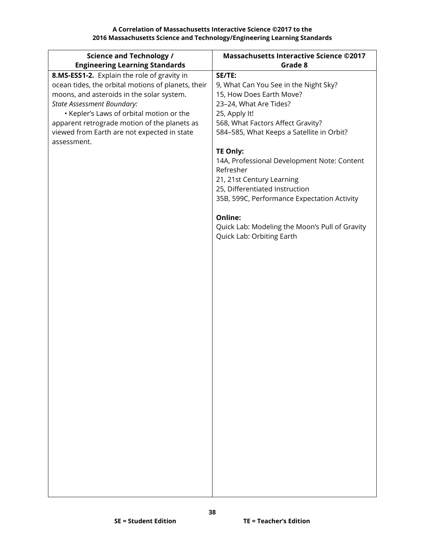| <b>Science and Technology /</b><br><b>Engineering Learning Standards</b> | <b>Massachusetts Interactive Science ©2017</b><br>Grade 8 |
|--------------------------------------------------------------------------|-----------------------------------------------------------|
| 8.MS-ESS1-2. Explain the role of gravity in                              | SE/TE:                                                    |
| ocean tides, the orbital motions of planets, their                       | 9, What Can You See in the Night Sky?                     |
| moons, and asteroids in the solar system.                                | 15, How Does Earth Move?                                  |
| <b>State Assessment Boundary:</b>                                        | 23-24, What Are Tides?                                    |
| • Kepler's Laws of orbital motion or the                                 | 25, Apply It!                                             |
| apparent retrograde motion of the planets as                             | 568, What Factors Affect Gravity?                         |
| viewed from Earth are not expected in state                              | 584-585, What Keeps a Satellite in Orbit?                 |
| assessment.                                                              |                                                           |
|                                                                          | TE Only:                                                  |
|                                                                          | 14A, Professional Development Note: Content               |
|                                                                          | Refresher                                                 |
|                                                                          | 21, 21st Century Learning                                 |
|                                                                          | 25, Differentiated Instruction                            |
|                                                                          | 35B, 599C, Performance Expectation Activity               |
|                                                                          | Online:                                                   |
|                                                                          | Quick Lab: Modeling the Moon's Pull of Gravity            |
|                                                                          | Quick Lab: Orbiting Earth                                 |
|                                                                          |                                                           |
|                                                                          |                                                           |
|                                                                          |                                                           |
|                                                                          |                                                           |
|                                                                          |                                                           |
|                                                                          |                                                           |
|                                                                          |                                                           |
|                                                                          |                                                           |
|                                                                          |                                                           |
|                                                                          |                                                           |
|                                                                          |                                                           |
|                                                                          |                                                           |
|                                                                          |                                                           |
|                                                                          |                                                           |
|                                                                          |                                                           |
|                                                                          |                                                           |
|                                                                          |                                                           |
|                                                                          |                                                           |
|                                                                          |                                                           |
|                                                                          |                                                           |
|                                                                          |                                                           |
|                                                                          |                                                           |
|                                                                          |                                                           |
|                                                                          |                                                           |
|                                                                          |                                                           |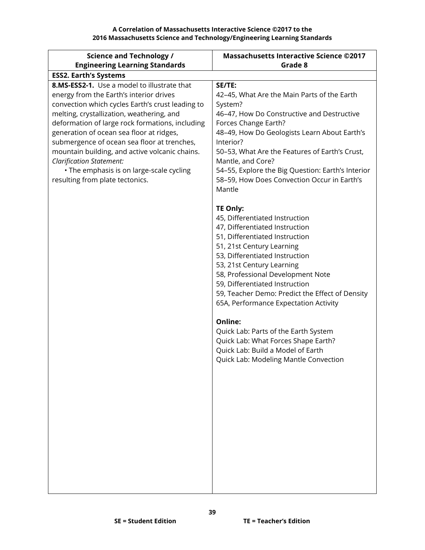| <b>Science and Technology /</b>                                             | <b>Massachusetts Interactive Science ©2017</b>                                                   |
|-----------------------------------------------------------------------------|--------------------------------------------------------------------------------------------------|
| <b>Engineering Learning Standards</b>                                       | Grade 8                                                                                          |
| <b>ESS2. Earth's Systems</b>                                                |                                                                                                  |
| 8.MS-ESS2-1. Use a model to illustrate that                                 | SE/TE:                                                                                           |
| energy from the Earth's interior drives                                     | 42-45, What Are the Main Parts of the Earth                                                      |
| convection which cycles Earth's crust leading to                            | System?                                                                                          |
| melting, crystallization, weathering, and                                   | 46-47, How Do Constructive and Destructive                                                       |
| deformation of large rock formations, including                             | Forces Change Earth?                                                                             |
| generation of ocean sea floor at ridges,                                    | 48-49, How Do Geologists Learn About Earth's                                                     |
| submergence of ocean sea floor at trenches,                                 | Interior?                                                                                        |
| mountain building, and active volcanic chains.                              | 50-53, What Are the Features of Earth's Crust,                                                   |
| <b>Clarification Statement:</b>                                             | Mantle, and Core?                                                                                |
| • The emphasis is on large-scale cycling<br>resulting from plate tectonics. | 54-55, Explore the Big Question: Earth's Interior<br>58-59, How Does Convection Occur in Earth's |
|                                                                             | Mantle                                                                                           |
|                                                                             |                                                                                                  |
|                                                                             | <b>TE Only:</b>                                                                                  |
|                                                                             | 45, Differentiated Instruction                                                                   |
|                                                                             | 47, Differentiated Instruction                                                                   |
|                                                                             | 51, Differentiated Instruction                                                                   |
|                                                                             | 51, 21st Century Learning                                                                        |
|                                                                             | 53, Differentiated Instruction                                                                   |
|                                                                             | 53, 21st Century Learning                                                                        |
|                                                                             | 58, Professional Development Note                                                                |
|                                                                             | 59, Differentiated Instruction                                                                   |
|                                                                             | 59, Teacher Demo: Predict the Effect of Density                                                  |
|                                                                             | 65A, Performance Expectation Activity                                                            |
|                                                                             | <b>Online:</b>                                                                                   |
|                                                                             | Quick Lab: Parts of the Earth System                                                             |
|                                                                             | Quick Lab: What Forces Shape Earth?                                                              |
|                                                                             | Quick Lab: Build a Model of Earth                                                                |
|                                                                             | Quick Lab: Modeling Mantle Convection                                                            |
|                                                                             |                                                                                                  |
|                                                                             |                                                                                                  |
|                                                                             |                                                                                                  |
|                                                                             |                                                                                                  |
|                                                                             |                                                                                                  |
|                                                                             |                                                                                                  |
|                                                                             |                                                                                                  |
|                                                                             |                                                                                                  |
|                                                                             |                                                                                                  |
|                                                                             |                                                                                                  |
|                                                                             |                                                                                                  |
|                                                                             |                                                                                                  |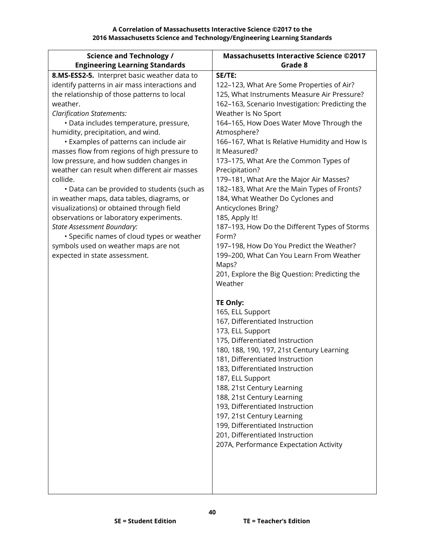| <b>Science and Technology /</b>                | <b>Massachusetts Interactive Science ©2017</b>    |
|------------------------------------------------|---------------------------------------------------|
| <b>Engineering Learning Standards</b>          | Grade 8                                           |
| 8.MS-ESS2-5. Interpret basic weather data to   | SE/TE:                                            |
| identify patterns in air mass interactions and | 122-123, What Are Some Properties of Air?         |
| the relationship of those patterns to local    | 125, What Instruments Measure Air Pressure?       |
| weather.                                       | 162-163, Scenario Investigation: Predicting the   |
| <b>Clarification Statements:</b>               | Weather Is No Sport                               |
| · Data includes temperature, pressure,         | 164-165, How Does Water Move Through the          |
| humidity, precipitation, and wind.             | Atmosphere?                                       |
| • Examples of patterns can include air         | 166-167, What Is Relative Humidity and How Is     |
| masses flow from regions of high pressure to   | It Measured?                                      |
| low pressure, and how sudden changes in        | 173-175, What Are the Common Types of             |
| weather can result when different air masses   | Precipitation?                                    |
| collide.                                       | 179-181, What Are the Major Air Masses?           |
| • Data can be provided to students (such as    | 182-183, What Are the Main Types of Fronts?       |
| in weather maps, data tables, diagrams, or     | 184, What Weather Do Cyclones and                 |
| visualizations) or obtained through field      | Anticyclones Bring?                               |
| observations or laboratory experiments.        | 185, Apply It!                                    |
| <b>State Assessment Boundary:</b>              | 187-193, How Do the Different Types of Storms     |
| · Specific names of cloud types or weather     | Form?                                             |
| symbols used on weather maps are not           | 197-198, How Do You Predict the Weather?          |
| expected in state assessment.                  | 199-200, What Can You Learn From Weather<br>Maps? |
|                                                | 201, Explore the Big Question: Predicting the     |
|                                                | Weather                                           |
|                                                |                                                   |
|                                                | <b>TE Only:</b>                                   |
|                                                | 165, ELL Support                                  |
|                                                | 167, Differentiated Instruction                   |
|                                                | 173, ELL Support                                  |
|                                                | 175, Differentiated Instruction                   |
|                                                | 180, 188, 190, 197, 21st Century Learning         |
|                                                | 181. Differentiated Instruction                   |
|                                                | 183, Differentiated Instruction                   |
|                                                | 187, ELL Support                                  |
|                                                | 188, 21st Century Learning                        |
|                                                | 188, 21st Century Learning                        |
|                                                | 193, Differentiated Instruction                   |
|                                                | 197, 21st Century Learning                        |
|                                                | 199, Differentiated Instruction                   |
|                                                | 201, Differentiated Instruction                   |
|                                                | 207A, Performance Expectation Activity            |
|                                                |                                                   |
|                                                |                                                   |
|                                                |                                                   |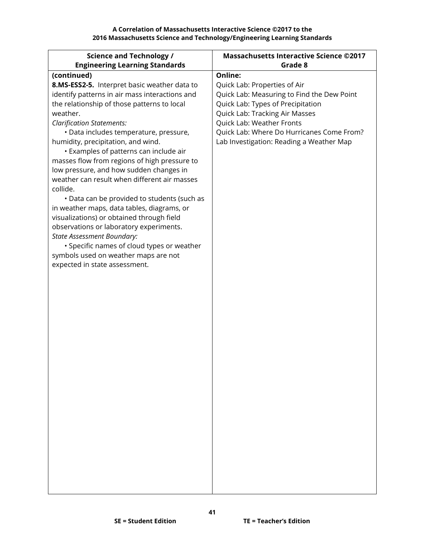**A Correlation of Massachusetts Interactive Science ©2017 to the 2016 Massachusetts Science and Technology/Engineering Learning Standards**

| <b>Science and Technology /</b>                                                      | <b>Massachusetts Interactive Science ©2017</b> |
|--------------------------------------------------------------------------------------|------------------------------------------------|
| <b>Engineering Learning Standards</b>                                                | Grade 8                                        |
| (continued)                                                                          | <b>Online:</b>                                 |
| 8.MS-ESS2-5. Interpret basic weather data to                                         | Quick Lab: Properties of Air                   |
| identify patterns in air mass interactions and                                       | Quick Lab: Measuring to Find the Dew Point     |
| the relationship of those patterns to local                                          | Quick Lab: Types of Precipitation              |
| weather.                                                                             | Quick Lab: Tracking Air Masses                 |
| <b>Clarification Statements:</b>                                                     | Quick Lab: Weather Fronts                      |
| · Data includes temperature, pressure,                                               | Quick Lab: Where Do Hurricanes Come From?      |
| humidity, precipitation, and wind.                                                   | Lab Investigation: Reading a Weather Map       |
| • Examples of patterns can include air                                               |                                                |
| masses flow from regions of high pressure to                                         |                                                |
| low pressure, and how sudden changes in                                              |                                                |
| weather can result when different air masses                                         |                                                |
| collide.                                                                             |                                                |
| • Data can be provided to students (such as                                          |                                                |
| in weather maps, data tables, diagrams, or                                           |                                                |
| visualizations) or obtained through field<br>observations or laboratory experiments. |                                                |
| <b>State Assessment Boundary:</b>                                                    |                                                |
| • Specific names of cloud types or weather                                           |                                                |
| symbols used on weather maps are not                                                 |                                                |
| expected in state assessment.                                                        |                                                |
|                                                                                      |                                                |
|                                                                                      |                                                |
|                                                                                      |                                                |
|                                                                                      |                                                |
|                                                                                      |                                                |
|                                                                                      |                                                |
|                                                                                      |                                                |
|                                                                                      |                                                |
|                                                                                      |                                                |
|                                                                                      |                                                |
|                                                                                      |                                                |
|                                                                                      |                                                |
|                                                                                      |                                                |
|                                                                                      |                                                |
|                                                                                      |                                                |
|                                                                                      |                                                |
|                                                                                      |                                                |
|                                                                                      |                                                |
|                                                                                      |                                                |
|                                                                                      |                                                |
|                                                                                      |                                                |
|                                                                                      |                                                |
|                                                                                      |                                                |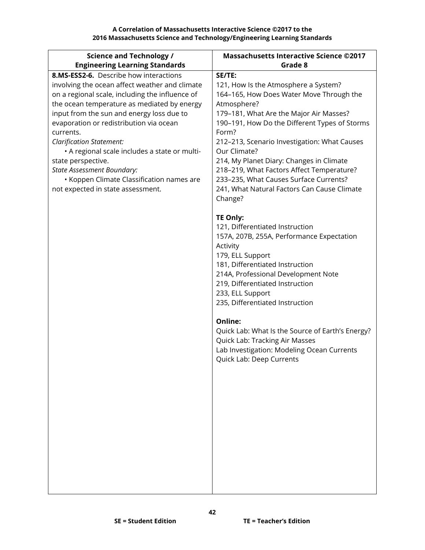| <b>Science and Technology /</b>                                                          | <b>Massachusetts Interactive Science ©2017</b>         |
|------------------------------------------------------------------------------------------|--------------------------------------------------------|
| <b>Engineering Learning Standards</b>                                                    | Grade 8                                                |
| 8.MS-ESS2-6. Describe how interactions                                                   | SE/TE:                                                 |
| involving the ocean affect weather and climate                                           | 121, How Is the Atmosphere a System?                   |
| on a regional scale, including the influence of                                          | 164-165, How Does Water Move Through the               |
| the ocean temperature as mediated by energy<br>input from the sun and energy loss due to | Atmosphere?<br>179-181, What Are the Major Air Masses? |
| evaporation or redistribution via ocean                                                  | 190-191, How Do the Different Types of Storms          |
| currents.                                                                                | Form?                                                  |
| <b>Clarification Statement:</b>                                                          | 212-213, Scenario Investigation: What Causes           |
| • A regional scale includes a state or multi-                                            | Our Climate?                                           |
| state perspective.                                                                       | 214, My Planet Diary: Changes in Climate               |
| <b>State Assessment Boundary:</b>                                                        | 218-219, What Factors Affect Temperature?              |
| • Koppen Climate Classification names are                                                | 233-235, What Causes Surface Currents?                 |
| not expected in state assessment.                                                        | 241, What Natural Factors Can Cause Climate            |
|                                                                                          | Change?                                                |
|                                                                                          | <b>TE Only:</b>                                        |
|                                                                                          | 121, Differentiated Instruction                        |
|                                                                                          | 157A, 207B, 255A, Performance Expectation              |
|                                                                                          | Activity                                               |
|                                                                                          | 179, ELL Support                                       |
|                                                                                          | 181, Differentiated Instruction                        |
|                                                                                          | 214A, Professional Development Note                    |
|                                                                                          | 219, Differentiated Instruction                        |
|                                                                                          | 233, ELL Support<br>235, Differentiated Instruction    |
|                                                                                          |                                                        |
|                                                                                          | Online:                                                |
|                                                                                          | Quick Lab: What Is the Source of Earth's Energy?       |
|                                                                                          | Quick Lab: Tracking Air Masses                         |
|                                                                                          | Lab Investigation: Modeling Ocean Currents             |
|                                                                                          | <b>Ouick Lab: Deep Currents</b>                        |
|                                                                                          |                                                        |
|                                                                                          |                                                        |
|                                                                                          |                                                        |
|                                                                                          |                                                        |
|                                                                                          |                                                        |
|                                                                                          |                                                        |
|                                                                                          |                                                        |
|                                                                                          |                                                        |
|                                                                                          |                                                        |
|                                                                                          |                                                        |
|                                                                                          |                                                        |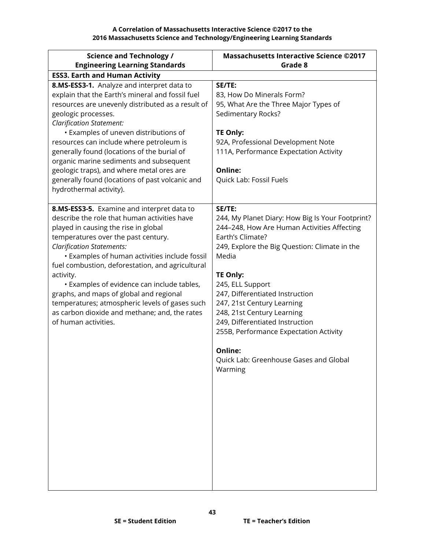| <b>Science and Technology /</b><br><b>Engineering Learning Standards</b>                                                                                                                                                                                                                                                                                                                                                                                                                                                                            | <b>Massachusetts Interactive Science ©2017</b><br>Grade 8                                                                                                                                                                                                                                                                                                                                                                                                                  |
|-----------------------------------------------------------------------------------------------------------------------------------------------------------------------------------------------------------------------------------------------------------------------------------------------------------------------------------------------------------------------------------------------------------------------------------------------------------------------------------------------------------------------------------------------------|----------------------------------------------------------------------------------------------------------------------------------------------------------------------------------------------------------------------------------------------------------------------------------------------------------------------------------------------------------------------------------------------------------------------------------------------------------------------------|
| <b>ESS3. Earth and Human Activity</b>                                                                                                                                                                                                                                                                                                                                                                                                                                                                                                               |                                                                                                                                                                                                                                                                                                                                                                                                                                                                            |
| 8.MS-ESS3-1. Analyze and interpret data to<br>explain that the Earth's mineral and fossil fuel<br>resources are unevenly distributed as a result of<br>geologic processes.<br><b>Clarification Statement:</b><br>• Examples of uneven distributions of<br>resources can include where petroleum is<br>generally found (locations of the burial of<br>organic marine sediments and subsequent<br>geologic traps), and where metal ores are<br>generally found (locations of past volcanic and<br>hydrothermal activity).                             | SE/TE:<br>83, How Do Minerals Form?<br>95, What Are the Three Major Types of<br>Sedimentary Rocks?<br><b>TE Only:</b><br>92A, Professional Development Note<br>111A, Performance Expectation Activity<br>Online:<br>Quick Lab: Fossil Fuels                                                                                                                                                                                                                                |
| 8.MS-ESS3-5. Examine and interpret data to<br>describe the role that human activities have<br>played in causing the rise in global<br>temperatures over the past century.<br><b>Clarification Statements:</b><br>• Examples of human activities include fossil<br>fuel combustion, deforestation, and agricultural<br>activity.<br>• Examples of evidence can include tables,<br>graphs, and maps of global and regional<br>temperatures; atmospheric levels of gases such<br>as carbon dioxide and methane; and, the rates<br>of human activities. | SE/TE:<br>244, My Planet Diary: How Big Is Your Footprint?<br>244-248, How Are Human Activities Affecting<br>Earth's Climate?<br>249, Explore the Big Question: Climate in the<br>Media<br><b>TE Only:</b><br>245, ELL Support<br>247, Differentiated Instruction<br>247, 21st Century Learning<br>248, 21st Century Learning<br>249, Differentiated Instruction<br>255B, Performance Expectation Activity<br>Online:<br>Quick Lab: Greenhouse Gases and Global<br>Warming |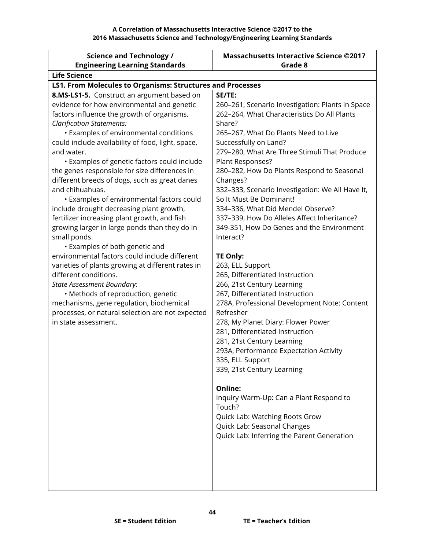| <b>Science and Technology /</b>                                                              | <b>Massachusetts Interactive Science ©2017</b>            |
|----------------------------------------------------------------------------------------------|-----------------------------------------------------------|
| <b>Engineering Learning Standards</b>                                                        | Grade 8                                                   |
| <b>Life Science</b>                                                                          |                                                           |
| <b>LS1. From Molecules to Organisms: Structures and Processes</b>                            |                                                           |
| 8.MS-LS1-5. Construct an argument based on                                                   | SE/TE:                                                    |
| evidence for how environmental and genetic                                                   | 260-261, Scenario Investigation: Plants in Space          |
| factors influence the growth of organisms.                                                   | 262-264, What Characteristics Do All Plants               |
| <b>Clarification Statements:</b>                                                             | Share?                                                    |
| • Examples of environmental conditions                                                       | 265-267, What Do Plants Need to Live                      |
| could include availability of food, light, space,                                            | Successfully on Land?                                     |
| and water.                                                                                   | 279-280, What Are Three Stimuli That Produce              |
| • Examples of genetic factors could include                                                  | Plant Responses?                                          |
| the genes responsible for size differences in                                                | 280-282, How Do Plants Respond to Seasonal                |
| different breeds of dogs, such as great danes                                                | Changes?                                                  |
| and chihuahuas.                                                                              | 332-333, Scenario Investigation: We All Have It,          |
| • Examples of environmental factors could                                                    | So It Must Be Dominant!                                   |
| include drought decreasing plant growth,                                                     | 334-336, What Did Mendel Observe?                         |
| fertilizer increasing plant growth, and fish                                                 | 337-339, How Do Alleles Affect Inheritance?               |
| growing larger in large ponds than they do in                                                | 349-351, How Do Genes and the Environment                 |
| small ponds.                                                                                 | Interact?                                                 |
| • Examples of both genetic and                                                               |                                                           |
| environmental factors could include different                                                | <b>TE Only:</b>                                           |
| varieties of plants growing at different rates in                                            | 263, ELL Support                                          |
| different conditions.                                                                        | 265, Differentiated Instruction                           |
| <b>State Assessment Boundary:</b>                                                            | 266, 21st Century Learning                                |
| · Methods of reproduction, genetic                                                           | 267, Differentiated Instruction                           |
| mechanisms, gene regulation, biochemical<br>processes, or natural selection are not expected | 278A, Professional Development Note: Content<br>Refresher |
| in state assessment.                                                                         | 278, My Planet Diary: Flower Power                        |
|                                                                                              | 281, Differentiated Instruction                           |
|                                                                                              | 281, 21st Century Learning                                |
|                                                                                              | 293A, Performance Expectation Activity                    |
|                                                                                              | 335, ELL Support                                          |
|                                                                                              | 339, 21st Century Learning                                |
|                                                                                              |                                                           |
|                                                                                              | Online:                                                   |
|                                                                                              | Inquiry Warm-Up: Can a Plant Respond to                   |
|                                                                                              | Touch?                                                    |
|                                                                                              | Quick Lab: Watching Roots Grow                            |
|                                                                                              | Quick Lab: Seasonal Changes                               |
|                                                                                              | Quick Lab: Inferring the Parent Generation                |
|                                                                                              |                                                           |
|                                                                                              |                                                           |
|                                                                                              |                                                           |
|                                                                                              |                                                           |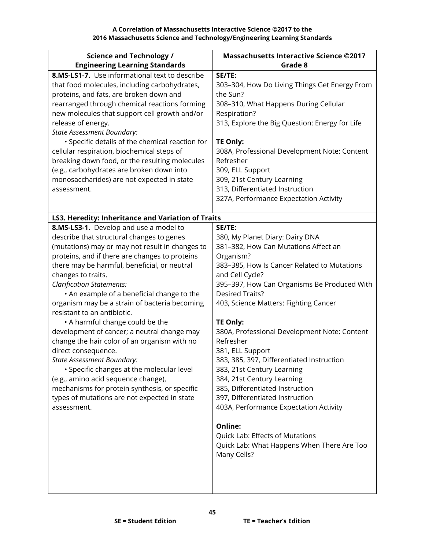| <b>Science and Technology /</b>                    | <b>Massachusetts Interactive Science ©2017</b>                            |
|----------------------------------------------------|---------------------------------------------------------------------------|
| <b>Engineering Learning Standards</b>              | Grade 8                                                                   |
| 8.MS-LS1-7. Use informational text to describe     | SE/TE:                                                                    |
| that food molecules, including carbohydrates,      | 303-304, How Do Living Things Get Energy From                             |
| proteins, and fats, are broken down and            | the Sun?                                                                  |
| rearranged through chemical reactions forming      | 308-310, What Happens During Cellular                                     |
| new molecules that support cell growth and/or      | Respiration?                                                              |
| release of energy.                                 | 313, Explore the Big Question: Energy for Life                            |
| <b>State Assessment Boundary:</b>                  |                                                                           |
| • Specific details of the chemical reaction for    | <b>TE Only:</b>                                                           |
| cellular respiration, biochemical steps of         | 308A, Professional Development Note: Content                              |
| breaking down food, or the resulting molecules     | Refresher                                                                 |
| (e.g., carbohydrates are broken down into          | 309, ELL Support                                                          |
| monosaccharides) are not expected in state         | 309, 21st Century Learning                                                |
| assessment.                                        | 313, Differentiated Instruction<br>327A, Performance Expectation Activity |
|                                                    |                                                                           |
| LS3. Heredity: Inheritance and Variation of Traits |                                                                           |
| 8.MS-LS3-1. Develop and use a model to             | SE/TE:                                                                    |
| describe that structural changes to genes          | 380, My Planet Diary: Dairy DNA                                           |
| (mutations) may or may not result in changes to    | 381-382, How Can Mutations Affect an                                      |
| proteins, and if there are changes to proteins     | Organism?                                                                 |
| there may be harmful, beneficial, or neutral       | 383-385, How Is Cancer Related to Mutations                               |
| changes to traits.                                 | and Cell Cycle?                                                           |
| <b>Clarification Statements:</b>                   | 395-397, How Can Organisms Be Produced With                               |
| . An example of a beneficial change to the         | <b>Desired Traits?</b>                                                    |
| organism may be a strain of bacteria becoming      | 403, Science Matters: Fighting Cancer                                     |
| resistant to an antibiotic.                        |                                                                           |
| • A harmful change could be the                    | <b>TE Only:</b>                                                           |
| development of cancer; a neutral change may        | 380A, Professional Development Note: Content                              |
| change the hair color of an organism with no       | Refresher                                                                 |
| direct consequence.                                | 381, ELL Support                                                          |
| <b>State Assessment Boundary:</b>                  | 383, 385, 397, Differentiated Instruction                                 |
| • Specific changes at the molecular level          | 383, 21st Century Learning                                                |
| (e.g., amino acid sequence change),                | 384, 21st Century Learning                                                |
| mechanisms for protein synthesis, or specific      | 385, Differentiated Instruction                                           |
| types of mutations are not expected in state       | 397, Differentiated Instruction                                           |
| assessment.                                        | 403A, Performance Expectation Activity                                    |
|                                                    | Online:                                                                   |
|                                                    | Quick Lab: Effects of Mutations                                           |
|                                                    | Quick Lab: What Happens When There Are Too                                |
|                                                    | Many Cells?                                                               |
|                                                    |                                                                           |
|                                                    |                                                                           |
|                                                    |                                                                           |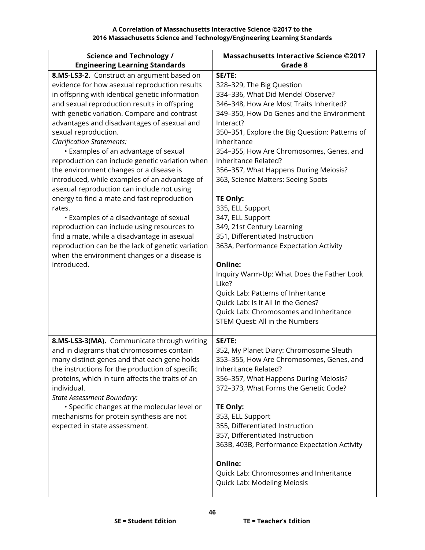| <b>Science and Technology /</b>                                                                                                                                                                                                                                                                                                                                                                                                                                                                                                                                                                                                                                                                                                                                                                                                                                                                                      | <b>Massachusetts Interactive Science ©2017</b>                                                                                                                                                                                                                                                                                                                                                                                                                                                                                                                                                                                                                                                                                                                                                    |
|----------------------------------------------------------------------------------------------------------------------------------------------------------------------------------------------------------------------------------------------------------------------------------------------------------------------------------------------------------------------------------------------------------------------------------------------------------------------------------------------------------------------------------------------------------------------------------------------------------------------------------------------------------------------------------------------------------------------------------------------------------------------------------------------------------------------------------------------------------------------------------------------------------------------|---------------------------------------------------------------------------------------------------------------------------------------------------------------------------------------------------------------------------------------------------------------------------------------------------------------------------------------------------------------------------------------------------------------------------------------------------------------------------------------------------------------------------------------------------------------------------------------------------------------------------------------------------------------------------------------------------------------------------------------------------------------------------------------------------|
| <b>Engineering Learning Standards</b>                                                                                                                                                                                                                                                                                                                                                                                                                                                                                                                                                                                                                                                                                                                                                                                                                                                                                | Grade 8                                                                                                                                                                                                                                                                                                                                                                                                                                                                                                                                                                                                                                                                                                                                                                                           |
| 8.MS-LS3-2. Construct an argument based on<br>evidence for how asexual reproduction results<br>in offspring with identical genetic information<br>and sexual reproduction results in offspring<br>with genetic variation. Compare and contrast<br>advantages and disadvantages of asexual and<br>sexual reproduction.<br><b>Clarification Statements:</b><br>• Examples of an advantage of sexual<br>reproduction can include genetic variation when<br>the environment changes or a disease is<br>introduced, while examples of an advantage of<br>asexual reproduction can include not using<br>energy to find a mate and fast reproduction<br>rates.<br>• Examples of a disadvantage of sexual<br>reproduction can include using resources to<br>find a mate, while a disadvantage in asexual<br>reproduction can be the lack of genetic variation<br>when the environment changes or a disease is<br>introduced. | SE/TE:<br>328-329, The Big Question<br>334-336, What Did Mendel Observe?<br>346-348, How Are Most Traits Inherited?<br>349-350, How Do Genes and the Environment<br>Interact?<br>350-351, Explore the Big Question: Patterns of<br>Inheritance<br>354-355, How Are Chromosomes, Genes, and<br>Inheritance Related?<br>356-357, What Happens During Meiosis?<br>363, Science Matters: Seeing Spots<br><b>TE Only:</b><br>335, ELL Support<br>347, ELL Support<br>349, 21st Century Learning<br>351, Differentiated Instruction<br>363A, Performance Expectation Activity<br>Online:<br>Inquiry Warm-Up: What Does the Father Look<br>Like?<br>Quick Lab: Patterns of Inheritance<br>Quick Lab: Is It All In the Genes?<br>Quick Lab: Chromosomes and Inheritance<br>STEM Quest: All in the Numbers |
| 8.MS-LS3-3(MA). Communicate through writing<br>and in diagrams that chromosomes contain<br>many distinct genes and that each gene holds<br>the instructions for the production of specific<br>proteins, which in turn affects the traits of an<br>individual.<br>State Assessment Boundary:<br>· Specific changes at the molecular level or<br>mechanisms for protein synthesis are not<br>expected in state assessment.                                                                                                                                                                                                                                                                                                                                                                                                                                                                                             | SE/TE:<br>352, My Planet Diary: Chromosome Sleuth<br>353-355, How Are Chromosomes, Genes, and<br>Inheritance Related?<br>356-357, What Happens During Meiosis?<br>372-373, What Forms the Genetic Code?<br>TE Only:<br>353, ELL Support<br>355, Differentiated Instruction<br>357, Differentiated Instruction<br>363B, 403B, Performance Expectation Activity<br>Online:<br>Quick Lab: Chromosomes and Inheritance<br>Quick Lab: Modeling Meiosis                                                                                                                                                                                                                                                                                                                                                 |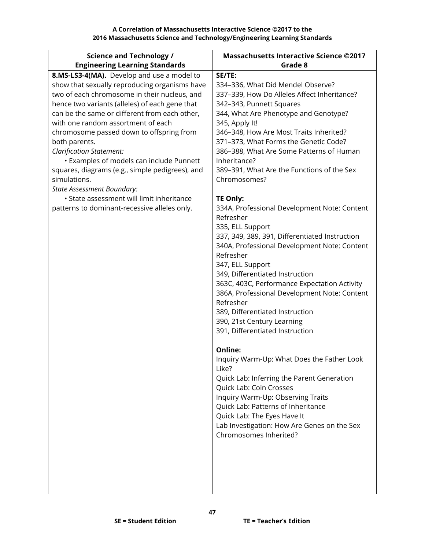| <b>Science and Technology /</b>                                                | <b>Massachusetts Interactive Science ©2017</b> |
|--------------------------------------------------------------------------------|------------------------------------------------|
| <b>Engineering Learning Standards</b>                                          | Grade 8                                        |
| 8.MS-LS3-4(MA). Develop and use a model to                                     | SE/TE:                                         |
| show that sexually reproducing organisms have                                  | 334-336, What Did Mendel Observe?              |
| two of each chromosome in their nucleus, and                                   | 337-339, How Do Alleles Affect Inheritance?    |
| hence two variants (alleles) of each gene that                                 | 342-343, Punnett Squares                       |
| can be the same or different from each other,                                  | 344, What Are Phenotype and Genotype?          |
| with one random assortment of each                                             | 345, Apply It!                                 |
| chromosome passed down to offspring from                                       | 346-348, How Are Most Traits Inherited?        |
| both parents.                                                                  | 371-373, What Forms the Genetic Code?          |
| <b>Clarification Statement:</b>                                                | 386-388, What Are Some Patterns of Human       |
| • Examples of models can include Punnett                                       | Inheritance?                                   |
| squares, diagrams (e.g., simple pedigrees), and                                | 389-391, What Are the Functions of the Sex     |
| simulations.                                                                   | Chromosomes?                                   |
| <b>State Assessment Boundary:</b><br>· State assessment will limit inheritance | TE Only:                                       |
| patterns to dominant-recessive alleles only.                                   | 334A, Professional Development Note: Content   |
|                                                                                | Refresher                                      |
|                                                                                | 335, ELL Support                               |
|                                                                                | 337, 349, 389, 391, Differentiated Instruction |
|                                                                                | 340A, Professional Development Note: Content   |
|                                                                                | Refresher                                      |
|                                                                                | 347, ELL Support                               |
|                                                                                | 349, Differentiated Instruction                |
|                                                                                | 363C, 403C, Performance Expectation Activity   |
|                                                                                | 386A, Professional Development Note: Content   |
|                                                                                | Refresher                                      |
|                                                                                | 389, Differentiated Instruction                |
|                                                                                | 390, 21st Century Learning                     |
|                                                                                | 391, Differentiated Instruction                |
|                                                                                | Online:                                        |
|                                                                                | Inquiry Warm-Up: What Does the Father Look     |
|                                                                                | Like?                                          |
|                                                                                | Quick Lab: Inferring the Parent Generation     |
|                                                                                | Quick Lab: Coin Crosses                        |
|                                                                                | Inquiry Warm-Up: Observing Traits              |
|                                                                                | Quick Lab: Patterns of Inheritance             |
|                                                                                | Quick Lab: The Eyes Have It                    |
|                                                                                | Lab Investigation: How Are Genes on the Sex    |
|                                                                                | Chromosomes Inherited?                         |
|                                                                                |                                                |
|                                                                                |                                                |
|                                                                                |                                                |
|                                                                                |                                                |
|                                                                                |                                                |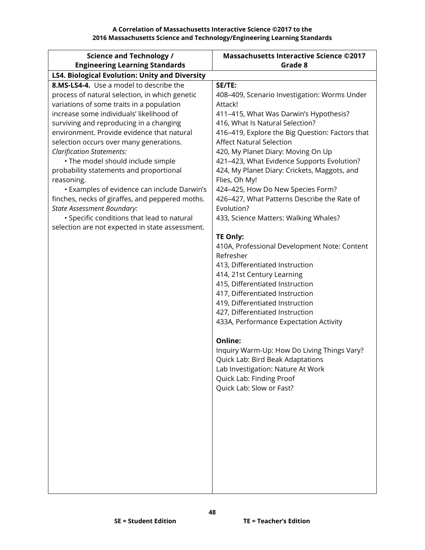| <b>Science and Technology /</b>                                                                                                                                                                                                                                                                                                                                                                                                                                                                                                                                                                                                                                                                  | <b>Massachusetts Interactive Science ©2017</b>                                                                                                                                                                                                                                                                                                                                                                                                                                                                                                                                                                                                                                                                                                                                                                                                                                  |
|--------------------------------------------------------------------------------------------------------------------------------------------------------------------------------------------------------------------------------------------------------------------------------------------------------------------------------------------------------------------------------------------------------------------------------------------------------------------------------------------------------------------------------------------------------------------------------------------------------------------------------------------------------------------------------------------------|---------------------------------------------------------------------------------------------------------------------------------------------------------------------------------------------------------------------------------------------------------------------------------------------------------------------------------------------------------------------------------------------------------------------------------------------------------------------------------------------------------------------------------------------------------------------------------------------------------------------------------------------------------------------------------------------------------------------------------------------------------------------------------------------------------------------------------------------------------------------------------|
| <b>Engineering Learning Standards</b>                                                                                                                                                                                                                                                                                                                                                                                                                                                                                                                                                                                                                                                            | Grade 8                                                                                                                                                                                                                                                                                                                                                                                                                                                                                                                                                                                                                                                                                                                                                                                                                                                                         |
| <b>LS4. Biological Evolution: Unity and Diversity</b>                                                                                                                                                                                                                                                                                                                                                                                                                                                                                                                                                                                                                                            |                                                                                                                                                                                                                                                                                                                                                                                                                                                                                                                                                                                                                                                                                                                                                                                                                                                                                 |
| 8.MS-LS4-4. Use a model to describe the<br>process of natural selection, in which genetic<br>variations of some traits in a population<br>increase some individuals' likelihood of<br>surviving and reproducing in a changing<br>environment. Provide evidence that natural<br>selection occurs over many generations.<br><b>Clarification Statements:</b><br>· The model should include simple<br>probability statements and proportional<br>reasoning.<br>• Examples of evidence can include Darwin's<br>finches, necks of giraffes, and peppered moths.<br><b>State Assessment Boundary:</b><br>· Specific conditions that lead to natural<br>selection are not expected in state assessment. | SE/TE:<br>408-409, Scenario Investigation: Worms Under<br>Attack!<br>411-415, What Was Darwin's Hypothesis?<br>416, What Is Natural Selection?<br>416-419, Explore the Big Question: Factors that<br><b>Affect Natural Selection</b><br>420, My Planet Diary: Moving On Up<br>421-423, What Evidence Supports Evolution?<br>424, My Planet Diary: Crickets, Maggots, and<br>Flies, Oh My!<br>424-425, How Do New Species Form?<br>426-427, What Patterns Describe the Rate of<br>Evolution?<br>433, Science Matters: Walking Whales?<br>TE Only:<br>410A, Professional Development Note: Content<br>Refresher<br>413, Differentiated Instruction<br>414, 21st Century Learning<br>415, Differentiated Instruction<br>417, Differentiated Instruction<br>419, Differentiated Instruction<br>427, Differentiated Instruction<br>433A, Performance Expectation Activity<br>Online: |
|                                                                                                                                                                                                                                                                                                                                                                                                                                                                                                                                                                                                                                                                                                  | Inquiry Warm-Up: How Do Living Things Vary?<br>Quick Lab: Bird Beak Adaptations<br>Lab Investigation: Nature At Work<br>Quick Lab: Finding Proof<br>Quick Lab: Slow or Fast?                                                                                                                                                                                                                                                                                                                                                                                                                                                                                                                                                                                                                                                                                                    |
|                                                                                                                                                                                                                                                                                                                                                                                                                                                                                                                                                                                                                                                                                                  |                                                                                                                                                                                                                                                                                                                                                                                                                                                                                                                                                                                                                                                                                                                                                                                                                                                                                 |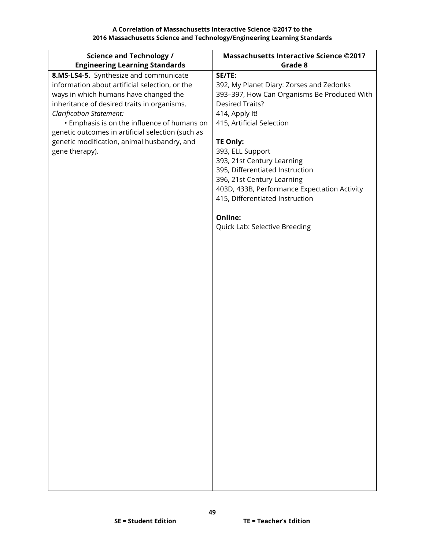| <b>Science and Technology /</b>                               | <b>Massachusetts Interactive Science ©2017</b> |
|---------------------------------------------------------------|------------------------------------------------|
| <b>Engineering Learning Standards</b>                         | Grade 8                                        |
| 8.MS-LS4-5. Synthesize and communicate                        | SE/TE:                                         |
| information about artificial selection, or the                | 392, My Planet Diary: Zorses and Zedonks       |
| ways in which humans have changed the                         | 393-397, How Can Organisms Be Produced With    |
| inheritance of desired traits in organisms.                   | <b>Desired Traits?</b>                         |
| <b>Clarification Statement:</b>                               | 414, Apply It!                                 |
| • Emphasis is on the influence of humans on                   | 415, Artificial Selection                      |
| genetic outcomes in artificial selection (such as             |                                                |
| genetic modification, animal husbandry, and<br>gene therapy). | <b>TE Only:</b><br>393, ELL Support            |
|                                                               | 393, 21st Century Learning                     |
|                                                               | 395, Differentiated Instruction                |
|                                                               | 396, 21st Century Learning                     |
|                                                               | 403D, 433B, Performance Expectation Activity   |
|                                                               | 415, Differentiated Instruction                |
|                                                               |                                                |
|                                                               | <b>Online:</b>                                 |
|                                                               | Quick Lab: Selective Breeding                  |
|                                                               |                                                |
|                                                               |                                                |
|                                                               |                                                |
|                                                               |                                                |
|                                                               |                                                |
|                                                               |                                                |
|                                                               |                                                |
|                                                               |                                                |
|                                                               |                                                |
|                                                               |                                                |
|                                                               |                                                |
|                                                               |                                                |
|                                                               |                                                |
|                                                               |                                                |
|                                                               |                                                |
|                                                               |                                                |
|                                                               |                                                |
|                                                               |                                                |
|                                                               |                                                |
|                                                               |                                                |
|                                                               |                                                |
|                                                               |                                                |
|                                                               |                                                |
|                                                               |                                                |
|                                                               |                                                |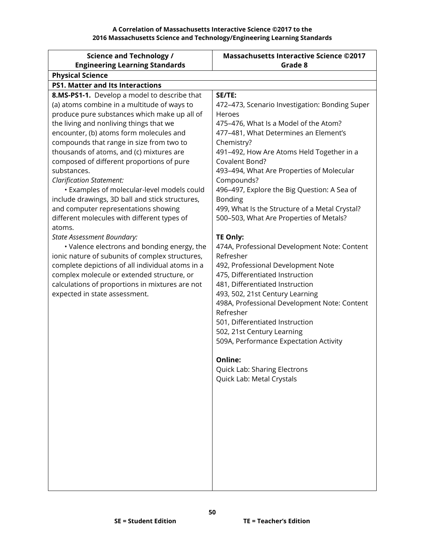| <b>Science and Technology /</b>                  | <b>Massachusetts Interactive Science ©2017</b> |
|--------------------------------------------------|------------------------------------------------|
| <b>Engineering Learning Standards</b>            | Grade 8                                        |
| <b>Physical Science</b>                          |                                                |
| <b>PS1. Matter and Its Interactions</b>          |                                                |
| 8.MS-PS1-1. Develop a model to describe that     | SE/TE:                                         |
| (a) atoms combine in a multitude of ways to      | 472-473, Scenario Investigation: Bonding Super |
| produce pure substances which make up all of     | Heroes                                         |
| the living and nonliving things that we          | 475-476, What Is a Model of the Atom?          |
| encounter, (b) atoms form molecules and          | 477-481, What Determines an Element's          |
| compounds that range in size from two to         | Chemistry?                                     |
| thousands of atoms, and (c) mixtures are         | 491-492, How Are Atoms Held Together in a      |
| composed of different proportions of pure        | Covalent Bond?                                 |
| substances.                                      | 493-494, What Are Properties of Molecular      |
| <b>Clarification Statement:</b>                  | Compounds?                                     |
| • Examples of molecular-level models could       | 496-497, Explore the Big Question: A Sea of    |
| include drawings, 3D ball and stick structures,  | <b>Bonding</b>                                 |
| and computer representations showing             | 499, What Is the Structure of a Metal Crystal? |
| different molecules with different types of      | 500-503, What Are Properties of Metals?        |
| atoms.<br><b>State Assessment Boundary:</b>      | <b>TE Only:</b>                                |
| • Valence electrons and bonding energy, the      | 474A, Professional Development Note: Content   |
| ionic nature of subunits of complex structures,  | Refresher                                      |
| complete depictions of all individual atoms in a | 492, Professional Development Note             |
| complex molecule or extended structure, or       | 475, Differentiated Instruction                |
| calculations of proportions in mixtures are not  | 481, Differentiated Instruction                |
| expected in state assessment.                    | 493, 502, 21st Century Learning                |
|                                                  | 498A, Professional Development Note: Content   |
|                                                  | Refresher                                      |
|                                                  | 501, Differentiated Instruction                |
|                                                  | 502, 21st Century Learning                     |
|                                                  | 509A, Performance Expectation Activity         |
|                                                  |                                                |
|                                                  | Online:                                        |
|                                                  | Quick Lab: Sharing Electrons                   |
|                                                  | Quick Lab: Metal Crystals                      |
|                                                  |                                                |
|                                                  |                                                |
|                                                  |                                                |
|                                                  |                                                |
|                                                  |                                                |
|                                                  |                                                |
|                                                  |                                                |
|                                                  |                                                |
|                                                  |                                                |
|                                                  |                                                |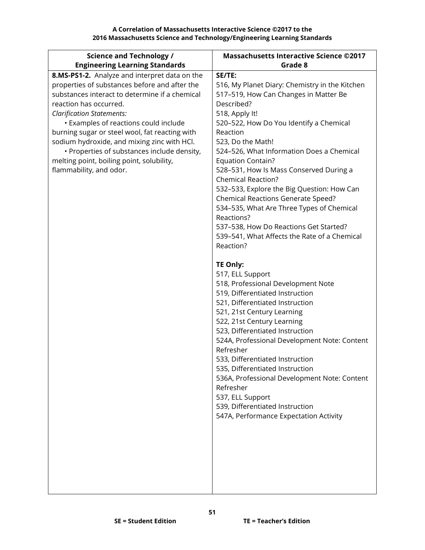**A Correlation of Massachusetts Interactive Science ©2017 to the 2016 Massachusetts Science and Technology/Engineering Learning Standards**

| <b>Science and Technology /</b>                | <b>Massachusetts Interactive Science ©2017</b>                                  |
|------------------------------------------------|---------------------------------------------------------------------------------|
| <b>Engineering Learning Standards</b>          | Grade 8                                                                         |
| 8.MS-PS1-2. Analyze and interpret data on the  | SE/TE:                                                                          |
| properties of substances before and after the  | 516, My Planet Diary: Chemistry in the Kitchen                                  |
| substances interact to determine if a chemical | 517-519, How Can Changes in Matter Be                                           |
| reaction has occurred.                         | Described?                                                                      |
| <b>Clarification Statements:</b>               | 518, Apply It!                                                                  |
| • Examples of reactions could include          | 520-522, How Do You Identify a Chemical                                         |
| burning sugar or steel wool, fat reacting with | Reaction                                                                        |
| sodium hydroxide, and mixing zinc with HCl.    | 523, Do the Math!                                                               |
| • Properties of substances include density,    | 524-526, What Information Does a Chemical                                       |
| melting point, boiling point, solubility,      | <b>Equation Contain?</b>                                                        |
| flammability, and odor.                        | 528-531, How Is Mass Conserved During a                                         |
|                                                | <b>Chemical Reaction?</b>                                                       |
|                                                | 532-533, Explore the Big Question: How Can                                      |
|                                                | Chemical Reactions Generate Speed?<br>534-535, What Are Three Types of Chemical |
|                                                | Reactions?                                                                      |
|                                                | 537-538, How Do Reactions Get Started?                                          |
|                                                | 539-541, What Affects the Rate of a Chemical                                    |
|                                                | Reaction?                                                                       |
|                                                |                                                                                 |
|                                                | TE Only:                                                                        |
|                                                | 517, ELL Support                                                                |
|                                                | 518, Professional Development Note                                              |
|                                                | 519, Differentiated Instruction                                                 |
|                                                | 521, Differentiated Instruction                                                 |
|                                                | 521, 21st Century Learning                                                      |
|                                                | 522, 21st Century Learning                                                      |
|                                                | 523, Differentiated Instruction                                                 |
|                                                | 524A, Professional Development Note: Content                                    |
|                                                | Refresher                                                                       |
|                                                | 533, Differentiated Instruction                                                 |
|                                                | 535, Differentiated Instruction                                                 |
|                                                | 536A, Professional Development Note: Content                                    |
|                                                | Refresher                                                                       |
|                                                | 537, ELL Support                                                                |
|                                                | 539, Differentiated Instruction                                                 |
|                                                | 547A, Performance Expectation Activity                                          |
|                                                |                                                                                 |
|                                                |                                                                                 |
|                                                |                                                                                 |
|                                                |                                                                                 |
|                                                |                                                                                 |
|                                                |                                                                                 |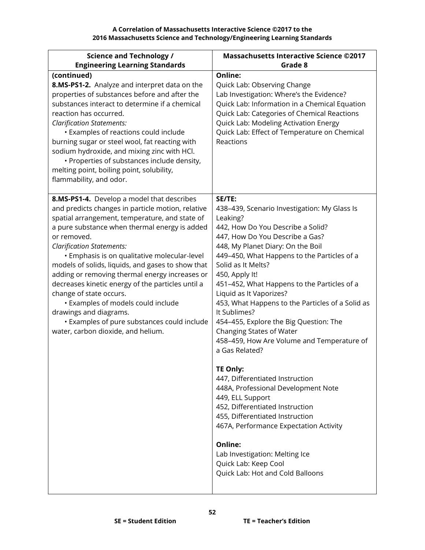| <b>Science and Technology /</b>                                                                                                                                                                                                                                                                                                                                                                                                                                                                                                                                                                                                                   | <b>Massachusetts Interactive Science ©2017</b>                                                                                                                                                                                                                                                                                                                                                                                                                                                                                                                                                                                                                                                                                                                                                                                                                                                |
|---------------------------------------------------------------------------------------------------------------------------------------------------------------------------------------------------------------------------------------------------------------------------------------------------------------------------------------------------------------------------------------------------------------------------------------------------------------------------------------------------------------------------------------------------------------------------------------------------------------------------------------------------|-----------------------------------------------------------------------------------------------------------------------------------------------------------------------------------------------------------------------------------------------------------------------------------------------------------------------------------------------------------------------------------------------------------------------------------------------------------------------------------------------------------------------------------------------------------------------------------------------------------------------------------------------------------------------------------------------------------------------------------------------------------------------------------------------------------------------------------------------------------------------------------------------|
| <b>Engineering Learning Standards</b>                                                                                                                                                                                                                                                                                                                                                                                                                                                                                                                                                                                                             | Grade 8                                                                                                                                                                                                                                                                                                                                                                                                                                                                                                                                                                                                                                                                                                                                                                                                                                                                                       |
| (continued)<br>8.MS-PS1-2. Analyze and interpret data on the<br>properties of substances before and after the<br>substances interact to determine if a chemical<br>reaction has occurred.<br><b>Clarification Statements:</b><br>• Examples of reactions could include<br>burning sugar or steel wool, fat reacting with<br>sodium hydroxide, and mixing zinc with HCl.<br>• Properties of substances include density,<br>melting point, boiling point, solubility,<br>flammability, and odor.                                                                                                                                                    | Online:<br>Quick Lab: Observing Change<br>Lab Investigation: Where's the Evidence?<br>Quick Lab: Information in a Chemical Equation<br>Quick Lab: Categories of Chemical Reactions<br>Quick Lab: Modeling Activation Energy<br>Quick Lab: Effect of Temperature on Chemical<br>Reactions                                                                                                                                                                                                                                                                                                                                                                                                                                                                                                                                                                                                      |
| 8.MS-PS1-4. Develop a model that describes<br>and predicts changes in particle motion, relative<br>spatial arrangement, temperature, and state of<br>a pure substance when thermal energy is added<br>or removed.<br><b>Clarification Statements:</b><br>· Emphasis is on qualitative molecular-level<br>models of solids, liquids, and gases to show that<br>adding or removing thermal energy increases or<br>decreases kinetic energy of the particles until a<br>change of state occurs.<br>• Examples of models could include<br>drawings and diagrams.<br>• Examples of pure substances could include<br>water, carbon dioxide, and helium. | SE/TE:<br>438-439, Scenario Investigation: My Glass Is<br>Leaking?<br>442, How Do You Describe a Solid?<br>447, How Do You Describe a Gas?<br>448, My Planet Diary: On the Boil<br>449-450, What Happens to the Particles of a<br>Solid as It Melts?<br>450, Apply It!<br>451-452, What Happens to the Particles of a<br>Liquid as It Vaporizes?<br>453, What Happens to the Particles of a Solid as<br>It Sublimes?<br>454-455, Explore the Big Question: The<br>Changing States of Water<br>458-459, How Are Volume and Temperature of<br>a Gas Related?<br>TE Only:<br>447, Differentiated Instruction<br>448A, Professional Development Note<br>449, ELL Support<br>452, Differentiated Instruction<br>455, Differentiated Instruction<br>467A, Performance Expectation Activity<br>Online:<br>Lab Investigation: Melting Ice<br>Quick Lab: Keep Cool<br>Quick Lab: Hot and Cold Balloons |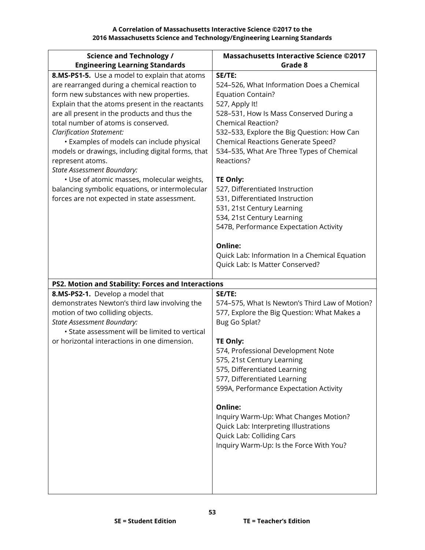**A Correlation of Massachusetts Interactive Science ©2017 to the 2016 Massachusetts Science and Technology/Engineering Learning Standards**

| <b>Science and Technology /</b>                                                               | <b>Massachusetts Interactive Science ©2017</b>                       |
|-----------------------------------------------------------------------------------------------|----------------------------------------------------------------------|
| <b>Engineering Learning Standards</b>                                                         | Grade 8                                                              |
| 8.MS-PS1-5. Use a model to explain that atoms<br>are rearranged during a chemical reaction to | SE/TE:<br>524-526, What Information Does a Chemical                  |
| form new substances with new properties.                                                      | <b>Equation Contain?</b>                                             |
| Explain that the atoms present in the reactants                                               | 527, Apply It!                                                       |
| are all present in the products and thus the                                                  | 528-531, How Is Mass Conserved During a<br><b>Chemical Reaction?</b> |
| total number of atoms is conserved.<br><b>Clarification Statement:</b>                        | 532-533, Explore the Big Question: How Can                           |
| • Examples of models can include physical                                                     | Chemical Reactions Generate Speed?                                   |
| models or drawings, including digital forms, that                                             | 534-535, What Are Three Types of Chemical                            |
| represent atoms.                                                                              | Reactions?                                                           |
| <b>State Assessment Boundary:</b>                                                             |                                                                      |
| • Use of atomic masses, molecular weights,                                                    | <b>TE Only:</b>                                                      |
| balancing symbolic equations, or intermolecular                                               | 527, Differentiated Instruction                                      |
| forces are not expected in state assessment.                                                  | 531, Differentiated Instruction<br>531, 21st Century Learning        |
|                                                                                               | 534, 21st Century Learning                                           |
|                                                                                               | 547B, Performance Expectation Activity                               |
|                                                                                               |                                                                      |
|                                                                                               | Online:                                                              |
|                                                                                               | Quick Lab: Information In a Chemical Equation                        |
|                                                                                               | Quick Lab: Is Matter Conserved?                                      |
| PS2. Motion and Stability: Forces and Interactions                                            |                                                                      |
| 8.MS-PS2-1. Develop a model that                                                              | SE/TE:                                                               |
| demonstrates Newton's third law involving the                                                 | 574-575, What Is Newton's Third Law of Motion?                       |
| motion of two colliding objects.                                                              | 577, Explore the Big Question: What Makes a                          |
| <b>State Assessment Boundary:</b><br>• State assessment will be limited to vertical           | Bug Go Splat?                                                        |
| or horizontal interactions in one dimension.                                                  | TE Only:                                                             |
|                                                                                               | 574, Professional Development Note                                   |
|                                                                                               | 575, 21st Century Learning                                           |
|                                                                                               | 575, Differentiated Learning                                         |
|                                                                                               | 577, Differentiated Learning                                         |
|                                                                                               | 599A, Performance Expectation Activity                               |
|                                                                                               | Online:                                                              |
|                                                                                               | Inquiry Warm-Up: What Changes Motion?                                |
|                                                                                               | Quick Lab: Interpreting Illustrations                                |
|                                                                                               | Quick Lab: Colliding Cars                                            |
|                                                                                               | Inquiry Warm-Up: Is the Force With You?                              |
|                                                                                               |                                                                      |
|                                                                                               |                                                                      |
|                                                                                               |                                                                      |
|                                                                                               |                                                                      |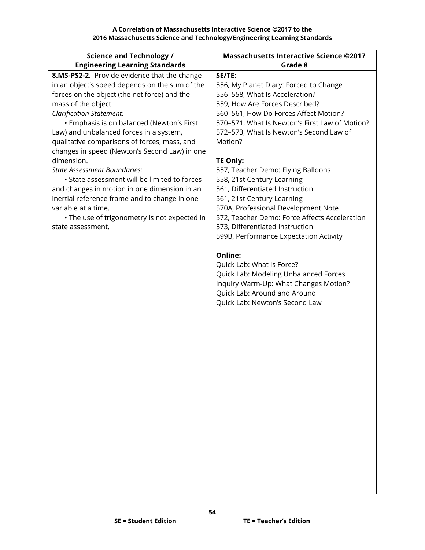| <b>Science and Technology /</b>                | <b>Massachusetts Interactive Science ©2017</b> |
|------------------------------------------------|------------------------------------------------|
| <b>Engineering Learning Standards</b>          | Grade 8                                        |
| 8.MS-PS2-2. Provide evidence that the change   | SE/TE:                                         |
| in an object's speed depends on the sum of the | 556, My Planet Diary: Forced to Change         |
| forces on the object (the net force) and the   | 556-558, What Is Acceleration?                 |
| mass of the object.                            | 559, How Are Forces Described?                 |
| <b>Clarification Statement:</b>                | 560-561, How Do Forces Affect Motion?          |
| • Emphasis is on balanced (Newton's First      | 570-571, What Is Newton's First Law of Motion? |
| Law) and unbalanced forces in a system,        | 572-573, What Is Newton's Second Law of        |
| qualitative comparisons of forces, mass, and   | Motion?                                        |
| changes in speed (Newton's Second Law) in one  |                                                |
| dimension.                                     | <b>TE Only:</b>                                |
| State Assessment Boundaries:                   | 557, Teacher Demo: Flying Balloons             |
| • State assessment will be limited to forces   | 558, 21st Century Learning                     |
| and changes in motion in one dimension in an   | 561, Differentiated Instruction                |
| inertial reference frame and to change in one  | 561, 21st Century Learning                     |
| variable at a time.                            | 570A, Professional Development Note            |
| • The use of trigonometry is not expected in   | 572, Teacher Demo: Force Affects Acceleration  |
| state assessment.                              | 573, Differentiated Instruction                |
|                                                | 599B, Performance Expectation Activity         |
|                                                |                                                |
|                                                | Online:                                        |
|                                                | Quick Lab: What Is Force?                      |
|                                                | Quick Lab: Modeling Unbalanced Forces          |
|                                                | Inquiry Warm-Up: What Changes Motion?          |
|                                                | Quick Lab: Around and Around                   |
|                                                | Quick Lab: Newton's Second Law                 |